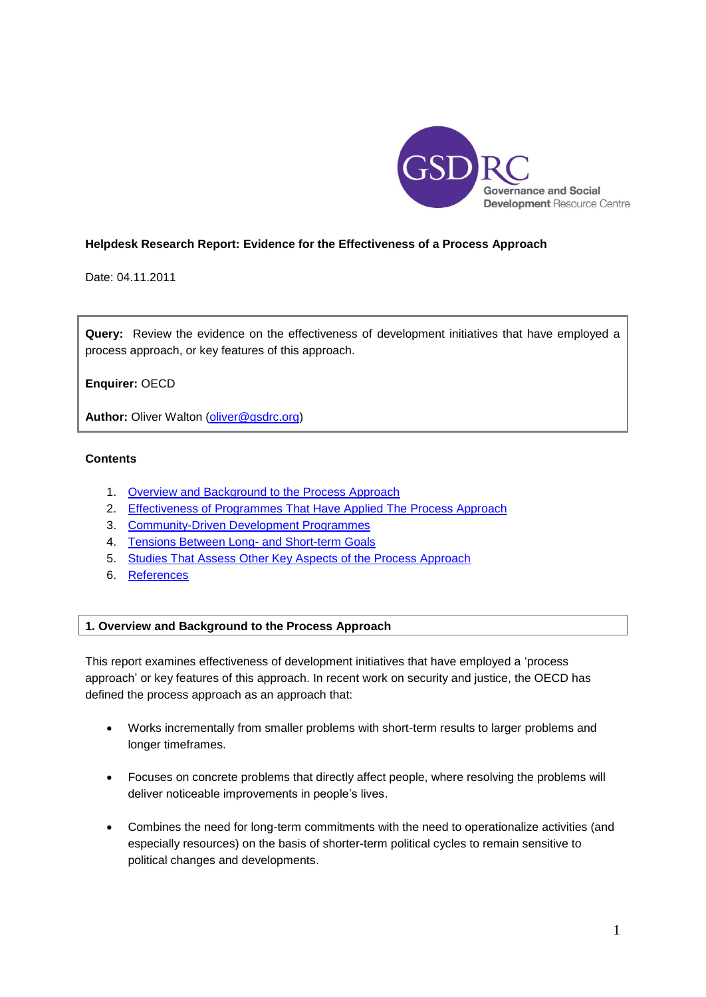

# **Helpdesk Research Report: Evidence for the Effectiveness of a Process Approach**

Date: 04.11.2011

**Query:** Review the evidence on the effectiveness of development initiatives that have employed a process approach, or key features of this approach.

**Enquirer:** OECD

Author: Oliver Walton [\(oliver@gsdrc.org\)](mailto:oliver@gsdrc.org)

# **Contents**

- 1. Overview [and Background to the Process Approach](#page-0-0)
- 2. Effectiveness of Programmes [That Have Applied The Process Approach](#page-4-0)
- 3. [Community-Driven Development Programmes](#page-8-0)
- 4. [Tensions Between Long-](#page-12-0) and Short-term Goals
- 5. [Studies That Assess Other Key Aspects of the Process Approach](#page-14-0)
- 6. [References](#page-18-0)

# <span id="page-0-0"></span>**1. Overview and Background to the Process Approach**

This report examines effectiveness of development initiatives that have employed a 'process approach' or key features of this approach. In recent work on security and justice, the OECD has defined the process approach as an approach that:

- Works incrementally from smaller problems with short-term results to larger problems and longer timeframes.
- Focuses on concrete problems that directly affect people, where resolving the problems will deliver noticeable improvements in people's lives.
- Combines the need for long-term commitments with the need to operationalize activities (and especially resources) on the basis of shorter-term political cycles to remain sensitive to political changes and developments.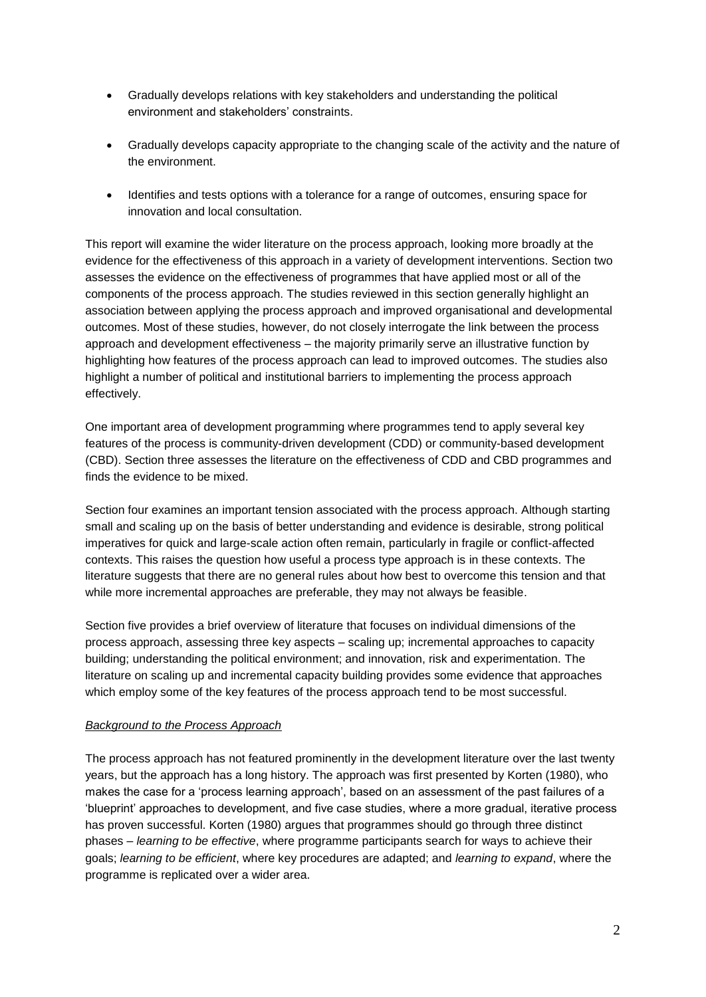- Gradually develops relations with key stakeholders and understanding the political environment and stakeholders' constraints.
- Gradually develops capacity appropriate to the changing scale of the activity and the nature of the environment.
- Identifies and tests options with a tolerance for a range of outcomes, ensuring space for innovation and local consultation.

This report will examine the wider literature on the process approach, looking more broadly at the evidence for the effectiveness of this approach in a variety of development interventions. Section two assesses the evidence on the effectiveness of programmes that have applied most or all of the components of the process approach. The studies reviewed in this section generally highlight an association between applying the process approach and improved organisational and developmental outcomes. Most of these studies, however, do not closely interrogate the link between the process approach and development effectiveness – the majority primarily serve an illustrative function by highlighting how features of the process approach can lead to improved outcomes. The studies also highlight a number of political and institutional barriers to implementing the process approach effectively.

One important area of development programming where programmes tend to apply several key features of the process is community-driven development (CDD) or community-based development (CBD). Section three assesses the literature on the effectiveness of CDD and CBD programmes and finds the evidence to be mixed.

Section four examines an important tension associated with the process approach. Although starting small and scaling up on the basis of better understanding and evidence is desirable, strong political imperatives for quick and large-scale action often remain, particularly in fragile or conflict-affected contexts. This raises the question how useful a process type approach is in these contexts. The literature suggests that there are no general rules about how best to overcome this tension and that while more incremental approaches are preferable, they may not always be feasible.

Section five provides a brief overview of literature that focuses on individual dimensions of the process approach, assessing three key aspects – scaling up; incremental approaches to capacity building; understanding the political environment; and innovation, risk and experimentation. The literature on scaling up and incremental capacity building provides some evidence that approaches which employ some of the key features of the process approach tend to be most successful.

# *Background to the Process Approach*

The process approach has not featured prominently in the development literature over the last twenty years, but the approach has a long history. The approach was first presented by Korten (1980), who makes the case for a 'process learning approach', based on an assessment of the past failures of a 'blueprint' approaches to development, and five case studies, where a more gradual, iterative process has proven successful. Korten (1980) argues that programmes should go through three distinct phases – *learning to be effective*, where programme participants search for ways to achieve their goals; *learning to be efficient*, where key procedures are adapted; and *learning to expand*, where the programme is replicated over a wider area.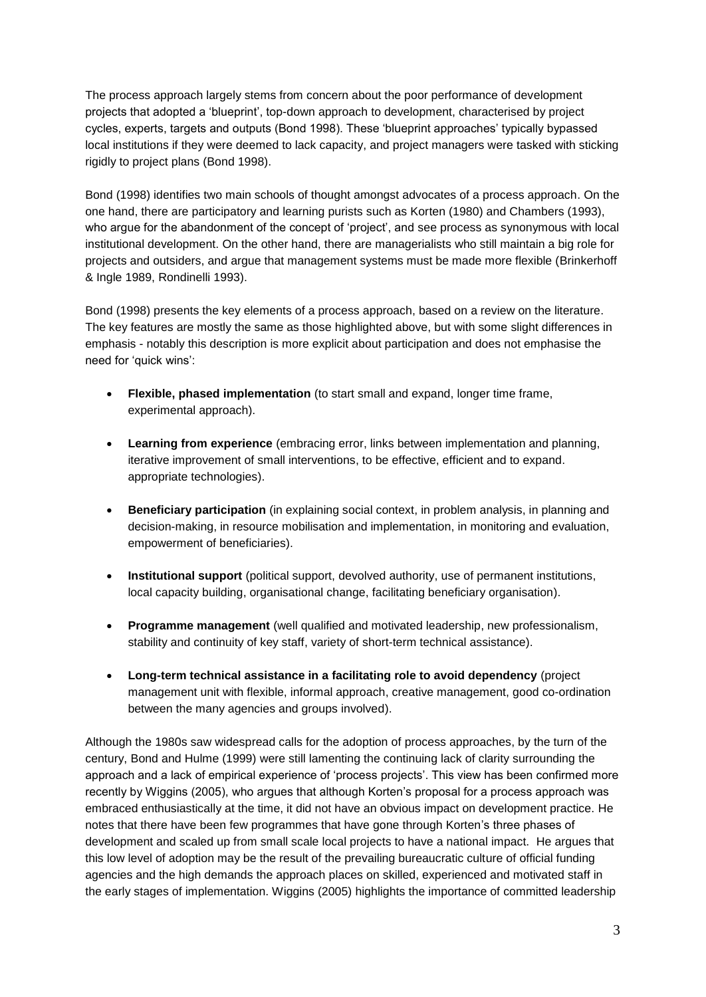The process approach largely stems from concern about the poor performance of development projects that adopted a 'blueprint', top-down approach to development, characterised by project cycles, experts, targets and outputs (Bond 1998). These 'blueprint approaches' typically bypassed local institutions if they were deemed to lack capacity, and project managers were tasked with sticking rigidly to project plans (Bond 1998).

Bond (1998) identifies two main schools of thought amongst advocates of a process approach. On the one hand, there are participatory and learning purists such as Korten (1980) and Chambers (1993), who argue for the abandonment of the concept of 'project', and see process as synonymous with local institutional development. On the other hand, there are managerialists who still maintain a big role for projects and outsiders, and argue that management systems must be made more flexible (Brinkerhoff & Ingle 1989, Rondinelli 1993).

Bond (1998) presents the key elements of a process approach, based on a review on the literature. The key features are mostly the same as those highlighted above, but with some slight differences in emphasis - notably this description is more explicit about participation and does not emphasise the need for 'quick wins':

- **Flexible, phased implementation** (to start small and expand, longer time frame, experimental approach).
- **Learning from experience** (embracing error, links between implementation and planning, iterative improvement of small interventions, to be effective, efficient and to expand. appropriate technologies).
- **Beneficiary participation** (in explaining social context, in problem analysis, in planning and decision-making, in resource mobilisation and implementation, in monitoring and evaluation, empowerment of beneficiaries).
- **Institutional support** (political support, devolved authority, use of permanent institutions, local capacity building, organisational change, facilitating beneficiary organisation).
- **Programme management** (well qualified and motivated leadership, new professionalism, stability and continuity of key staff, variety of short-term technical assistance).
- **Long-term technical assistance in a facilitating role to avoid dependency** (project management unit with flexible, informal approach, creative management, good co-ordination between the many agencies and groups involved).

Although the 1980s saw widespread calls for the adoption of process approaches, by the turn of the century, Bond and Hulme (1999) were still lamenting the continuing lack of clarity surrounding the approach and a lack of empirical experience of 'process projects'. This view has been confirmed more recently by Wiggins (2005), who argues that although Korten's proposal for a process approach was embraced enthusiastically at the time, it did not have an obvious impact on development practice. He notes that there have been few programmes that have gone through Korten's three phases of development and scaled up from small scale local projects to have a national impact. He argues that this low level of adoption may be the result of the prevailing bureaucratic culture of official funding agencies and the high demands the approach places on skilled, experienced and motivated staff in the early stages of implementation. Wiggins (2005) highlights the importance of committed leadership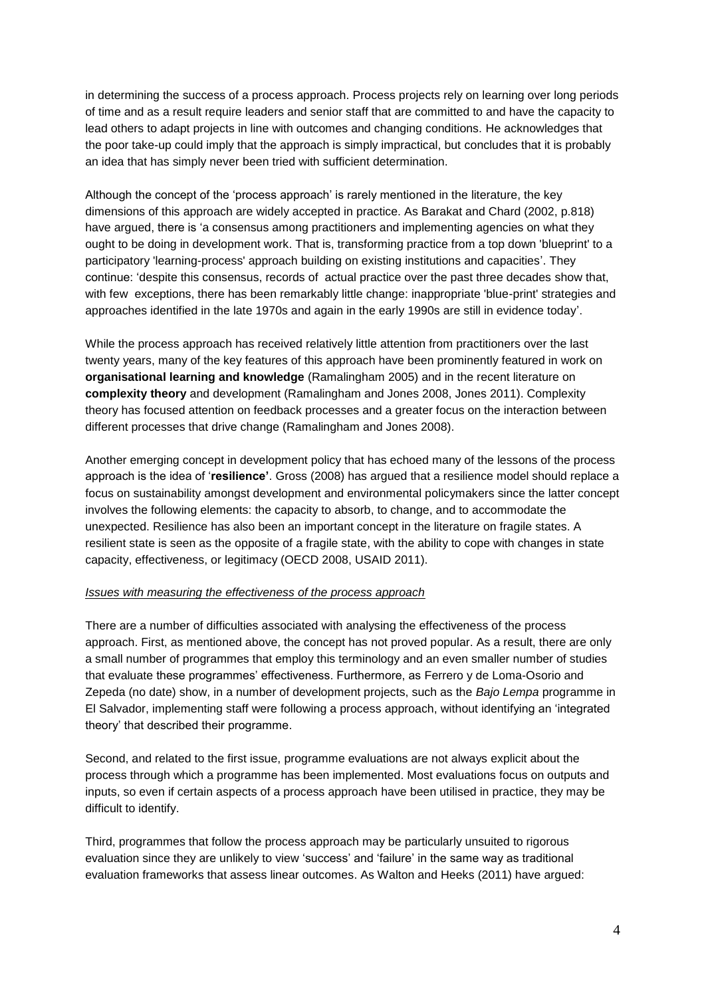in determining the success of a process approach. Process projects rely on learning over long periods of time and as a result require leaders and senior staff that are committed to and have the capacity to lead others to adapt projects in line with outcomes and changing conditions. He acknowledges that the poor take-up could imply that the approach is simply impractical, but concludes that it is probably an idea that has simply never been tried with sufficient determination.

Although the concept of the 'process approach' is rarely mentioned in the literature, the key dimensions of this approach are widely accepted in practice. As Barakat and Chard (2002, p.818) have argued, there is 'a consensus among practitioners and implementing agencies on what they ought to be doing in development work. That is, transforming practice from a top down 'blueprint' to a participatory 'learning-process' approach building on existing institutions and capacities'. They continue: 'despite this consensus, records of actual practice over the past three decades show that, with few exceptions, there has been remarkably little change: inappropriate 'blue-print' strategies and approaches identified in the late 1970s and again in the early 1990s are still in evidence today'.

While the process approach has received relatively little attention from practitioners over the last twenty years, many of the key features of this approach have been prominently featured in work on **organisational learning and knowledge** (Ramalingham 2005) and in the recent literature on **complexity theory** and development (Ramalingham and Jones 2008, Jones 2011). Complexity theory has focused attention on feedback processes and a greater focus on the interaction between different processes that drive change (Ramalingham and Jones 2008).

Another emerging concept in development policy that has echoed many of the lessons of the process approach is the idea of '**resilience'**. Gross (2008) has argued that a resilience model should replace a focus on sustainability amongst development and environmental policymakers since the latter concept involves the following elements: the capacity to absorb, to change, and to accommodate the unexpected. Resilience has also been an important concept in the literature on fragile states. A resilient state is seen as the opposite of a fragile state, with the ability to cope with changes in state capacity, effectiveness, or legitimacy (OECD 2008, USAID 2011).

### *Issues with measuring the effectiveness of the process approach*

There are a number of difficulties associated with analysing the effectiveness of the process approach. First, as mentioned above, the concept has not proved popular. As a result, there are only a small number of programmes that employ this terminology and an even smaller number of studies that evaluate these programmes' effectiveness. Furthermore, as Ferrero y de Loma-Osorio and Zepeda (no date) show, in a number of development projects, such as the *Bajo Lempa* programme in El Salvador, implementing staff were following a process approach, without identifying an 'integrated theory' that described their programme.

Second, and related to the first issue, programme evaluations are not always explicit about the process through which a programme has been implemented. Most evaluations focus on outputs and inputs, so even if certain aspects of a process approach have been utilised in practice, they may be difficult to identify.

Third, programmes that follow the process approach may be particularly unsuited to rigorous evaluation since they are unlikely to view 'success' and 'failure' in the same way as traditional evaluation frameworks that assess linear outcomes. As Walton and Heeks (2011) have argued: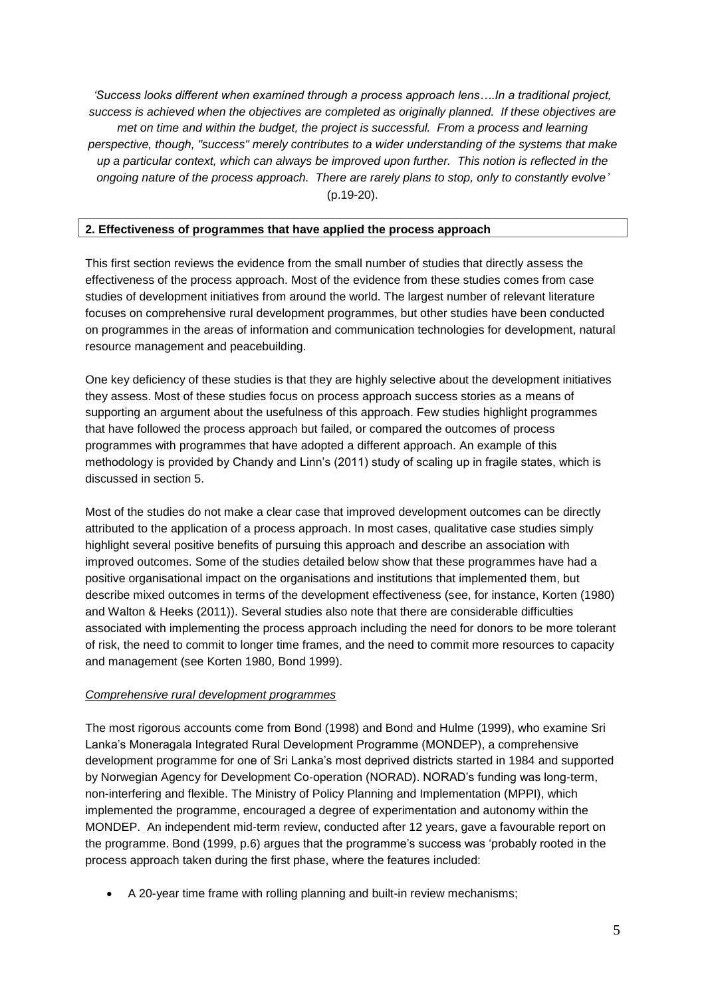*'Success looks different when examined through a process approach lens….In a traditional project, success is achieved when the objectives are completed as originally planned. If these objectives are met on time and within the budget, the project is successful. From a process and learning perspective, though, "success" merely contributes to a wider understanding of the systems that make up a particular context, which can always be improved upon further. This notion is reflected in the ongoing nature of the process approach. There are rarely plans to stop, only to constantly evolve'* (p.19-20).

# <span id="page-4-0"></span>**2. Effectiveness of programmes that have applied the process approach**

This first section reviews the evidence from the small number of studies that directly assess the effectiveness of the process approach. Most of the evidence from these studies comes from case studies of development initiatives from around the world. The largest number of relevant literature focuses on comprehensive rural development programmes, but other studies have been conducted on programmes in the areas of information and communication technologies for development, natural resource management and peacebuilding.

One key deficiency of these studies is that they are highly selective about the development initiatives they assess. Most of these studies focus on process approach success stories as a means of supporting an argument about the usefulness of this approach. Few studies highlight programmes that have followed the process approach but failed, or compared the outcomes of process programmes with programmes that have adopted a different approach. An example of this methodology is provided by Chandy and Linn's (2011) study of scaling up in fragile states, which is discussed in section 5.

Most of the studies do not make a clear case that improved development outcomes can be directly attributed to the application of a process approach. In most cases, qualitative case studies simply highlight several positive benefits of pursuing this approach and describe an association with improved outcomes. Some of the studies detailed below show that these programmes have had a positive organisational impact on the organisations and institutions that implemented them, but describe mixed outcomes in terms of the development effectiveness (see, for instance, Korten (1980) and Walton & Heeks (2011)). Several studies also note that there are considerable difficulties associated with implementing the process approach including the need for donors to be more tolerant of risk, the need to commit to longer time frames, and the need to commit more resources to capacity and management (see Korten 1980, Bond 1999).

# *Comprehensive rural development programmes*

The most rigorous accounts come from Bond (1998) and Bond and Hulme (1999), who examine Sri Lanka's Moneragala Integrated Rural Development Programme (MONDEP), a comprehensive development programme for one of Sri Lanka's most deprived districts started in 1984 and supported by Norwegian Agency for Development Co-operation (NORAD). NORAD's funding was long-term, non-interfering and flexible. The Ministry of Policy Planning and Implementation (MPPI), which implemented the programme, encouraged a degree of experimentation and autonomy within the MONDEP. An independent mid-term review, conducted after 12 years, gave a favourable report on the programme. Bond (1999, p.6) argues that the programme's success was 'probably rooted in the process approach taken during the first phase, where the features included:

A 20-year time frame with rolling planning and built-in review mechanisms;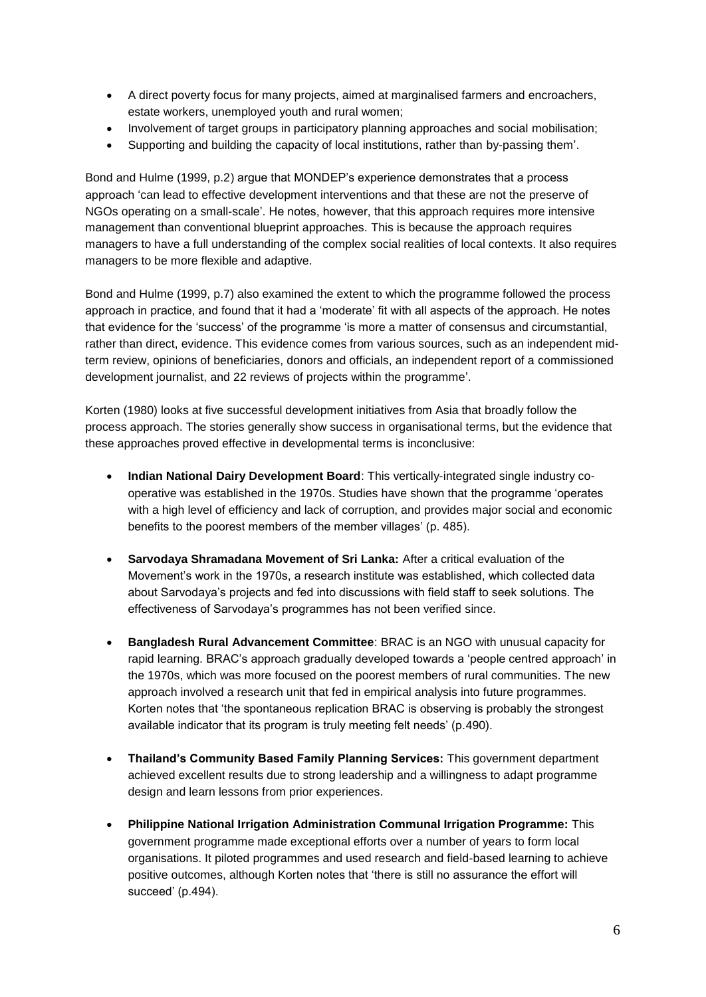- A direct poverty focus for many projects, aimed at marginalised farmers and encroachers, estate workers, unemployed youth and rural women;
- Involvement of target groups in participatory planning approaches and social mobilisation;
- Supporting and building the capacity of local institutions, rather than by-passing them'.

Bond and Hulme (1999, p.2) argue that MONDEP's experience demonstrates that a process approach 'can lead to effective development interventions and that these are not the preserve of NGOs operating on a small-scale'. He notes, however, that this approach requires more intensive management than conventional blueprint approaches. This is because the approach requires managers to have a full understanding of the complex social realities of local contexts. It also requires managers to be more flexible and adaptive.

Bond and Hulme (1999, p.7) also examined the extent to which the programme followed the process approach in practice, and found that it had a 'moderate' fit with all aspects of the approach. He notes that evidence for the 'success' of the programme 'is more a matter of consensus and circumstantial, rather than direct, evidence. This evidence comes from various sources, such as an independent midterm review, opinions of beneficiaries, donors and officials, an independent report of a commissioned development journalist, and 22 reviews of projects within the programme'.

Korten (1980) looks at five successful development initiatives from Asia that broadly follow the process approach. The stories generally show success in organisational terms, but the evidence that these approaches proved effective in developmental terms is inconclusive:

- **Indian National Dairy Development Board**: This vertically-integrated single industry cooperative was established in the 1970s. Studies have shown that the programme 'operates with a high level of efficiency and lack of corruption, and provides major social and economic benefits to the poorest members of the member villages' (p. 485).
- **Sarvodaya Shramadana Movement of Sri Lanka:** After a critical evaluation of the Movement's work in the 1970s, a research institute was established, which collected data about Sarvodaya's projects and fed into discussions with field staff to seek solutions. The effectiveness of Sarvodaya's programmes has not been verified since.
- **Bangladesh Rural Advancement Committee**: BRAC is an NGO with unusual capacity for rapid learning. BRAC's approach gradually developed towards a 'people centred approach' in the 1970s, which was more focused on the poorest members of rural communities. The new approach involved a research unit that fed in empirical analysis into future programmes. Korten notes that 'the spontaneous replication BRAC is observing is probably the strongest available indicator that its program is truly meeting felt needs' (p.490).
- **Thailand's Community Based Family Planning Services:** This government department achieved excellent results due to strong leadership and a willingness to adapt programme design and learn lessons from prior experiences.
- **Philippine National Irrigation Administration Communal Irrigation Programme:** This government programme made exceptional efforts over a number of years to form local organisations. It piloted programmes and used research and field-based learning to achieve positive outcomes, although Korten notes that 'there is still no assurance the effort will succeed' (p.494).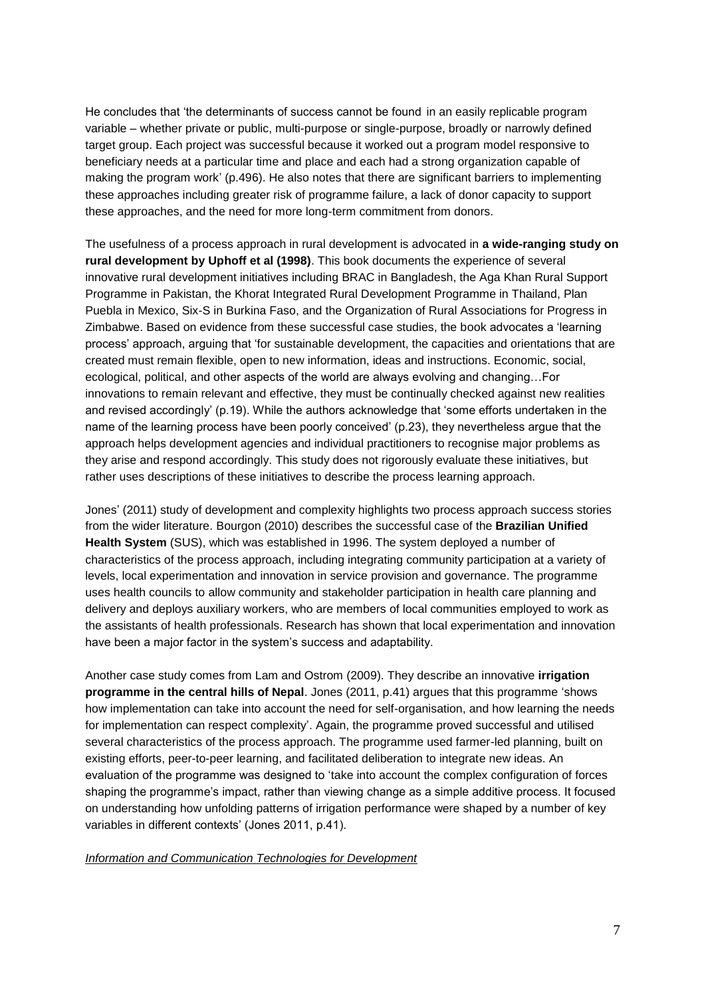He concludes that 'the determinants of success cannot be found in an easily replicable program variable – whether private or public, multi-purpose or single-purpose, broadly or narrowly defined target group. Each project was successful because it worked out a program model responsive to beneficiary needs at a particular time and place and each had a strong organization capable of making the program work' (p.496). He also notes that there are significant barriers to implementing these approaches including greater risk of programme failure, a lack of donor capacity to support these approaches, and the need for more long-term commitment from donors.

The usefulness of a process approach in rural development is advocated in **a wide-ranging study on rural development by Uphoff et al (1998)**. This book documents the experience of several innovative rural development initiatives including BRAC in Bangladesh, the Aga Khan Rural Support Programme in Pakistan, the Khorat Integrated Rural Development Programme in Thailand, Plan Puebla in Mexico, Six-S in Burkina Faso, and the Organization of Rural Associations for Progress in Zimbabwe. Based on evidence from these successful case studies, the book advocates a 'learning process' approach, arguing that 'for sustainable development, the capacities and orientations that are created must remain flexible, open to new information, ideas and instructions. Economic, social, ecological, political, and other aspects of the world are always evolving and changing…For innovations to remain relevant and effective, they must be continually checked against new realities and revised accordingly' (p.19). While the authors acknowledge that 'some efforts undertaken in the name of the learning process have been poorly conceived' (p.23), they nevertheless argue that the approach helps development agencies and individual practitioners to recognise major problems as they arise and respond accordingly. This study does not rigorously evaluate these initiatives, but rather uses descriptions of these initiatives to describe the process learning approach.

Jones' (2011) study of development and complexity highlights two process approach success stories from the wider literature. Bourgon (2010) describes the successful case of the **Brazilian Unified Health System** (SUS), which was established in 1996. The system deployed a number of characteristics of the process approach, including integrating community participation at a variety of levels, local experimentation and innovation in service provision and governance. The programme uses health councils to allow community and stakeholder participation in health care planning and delivery and deploys auxiliary workers, who are members of local communities employed to work as the assistants of health professionals. Research has shown that local experimentation and innovation have been a major factor in the system's success and adaptability.

Another case study comes from Lam and Ostrom (2009). They describe an innovative **irrigation programme in the central hills of Nepal**. Jones (2011, p.41) argues that this programme 'shows how implementation can take into account the need for self-organisation, and how learning the needs for implementation can respect complexity'. Again, the programme proved successful and utilised several characteristics of the process approach. The programme used farmer-led planning, built on existing efforts, peer-to-peer learning, and facilitated deliberation to integrate new ideas. An evaluation of the programme was designed to 'take into account the complex configuration of forces shaping the programme's impact, rather than viewing change as a simple additive process. It focused on understanding how unfolding patterns of irrigation performance were shaped by a number of key variables in different contexts' (Jones 2011, p.41).

### *Information and Communication Technologies for Development*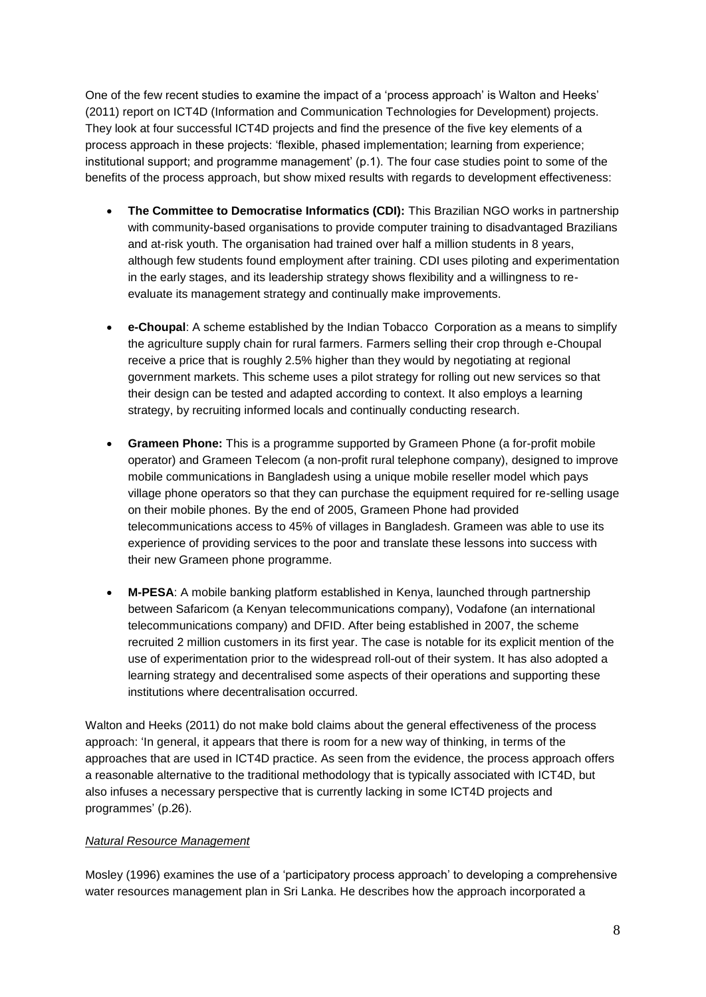One of the few recent studies to examine the impact of a 'process approach' is Walton and Heeks' (2011) report on ICT4D (Information and Communication Technologies for Development) projects. They look at four successful ICT4D projects and find the presence of the five key elements of a process approach in these projects: 'flexible, phased implementation; learning from experience; institutional support; and programme management' (p.1). The four case studies point to some of the benefits of the process approach, but show mixed results with regards to development effectiveness:

- **The Committee to Democratise Informatics (CDI):** This Brazilian NGO works in partnership with community-based organisations to provide computer training to disadvantaged Brazilians and at-risk youth. The organisation had trained over half a million students in 8 years, although few students found employment after training. CDI uses piloting and experimentation in the early stages, and its leadership strategy shows flexibility and a willingness to reevaluate its management strategy and continually make improvements.
- **e-Choupal**: A scheme established by the Indian Tobacco Corporation as a means to simplify the agriculture supply chain for rural farmers. Farmers selling their crop through e-Choupal receive a price that is roughly 2.5% higher than they would by negotiating at regional government markets. This scheme uses a pilot strategy for rolling out new services so that their design can be tested and adapted according to context. It also employs a learning strategy, by recruiting informed locals and continually conducting research.
- **Grameen Phone:** This is a programme supported by Grameen Phone (a for-profit mobile operator) and Grameen Telecom (a non-profit rural telephone company), designed to improve mobile communications in Bangladesh using a unique mobile reseller model which pays village phone operators so that they can purchase the equipment required for re-selling usage on their mobile phones. By the end of 2005, Grameen Phone had provided telecommunications access to 45% of villages in Bangladesh. Grameen was able to use its experience of providing services to the poor and translate these lessons into success with their new Grameen phone programme.
- **M-PESA**: A mobile banking platform established in Kenya, launched through partnership between Safaricom (a Kenyan telecommunications company), Vodafone (an international telecommunications company) and DFID. After being established in 2007, the scheme recruited 2 million customers in its first year. The case is notable for its explicit mention of the use of experimentation prior to the widespread roll-out of their system. It has also adopted a learning strategy and decentralised some aspects of their operations and supporting these institutions where decentralisation occurred.

Walton and Heeks (2011) do not make bold claims about the general effectiveness of the process approach: 'In general, it appears that there is room for a new way of thinking, in terms of the approaches that are used in ICT4D practice. As seen from the evidence, the process approach offers a reasonable alternative to the traditional methodology that is typically associated with ICT4D, but also infuses a necessary perspective that is currently lacking in some ICT4D projects and programmes' (p.26).

# *Natural Resource Management*

Mosley (1996) examines the use of a 'participatory process approach' to developing a comprehensive water resources management plan in Sri Lanka. He describes how the approach incorporated a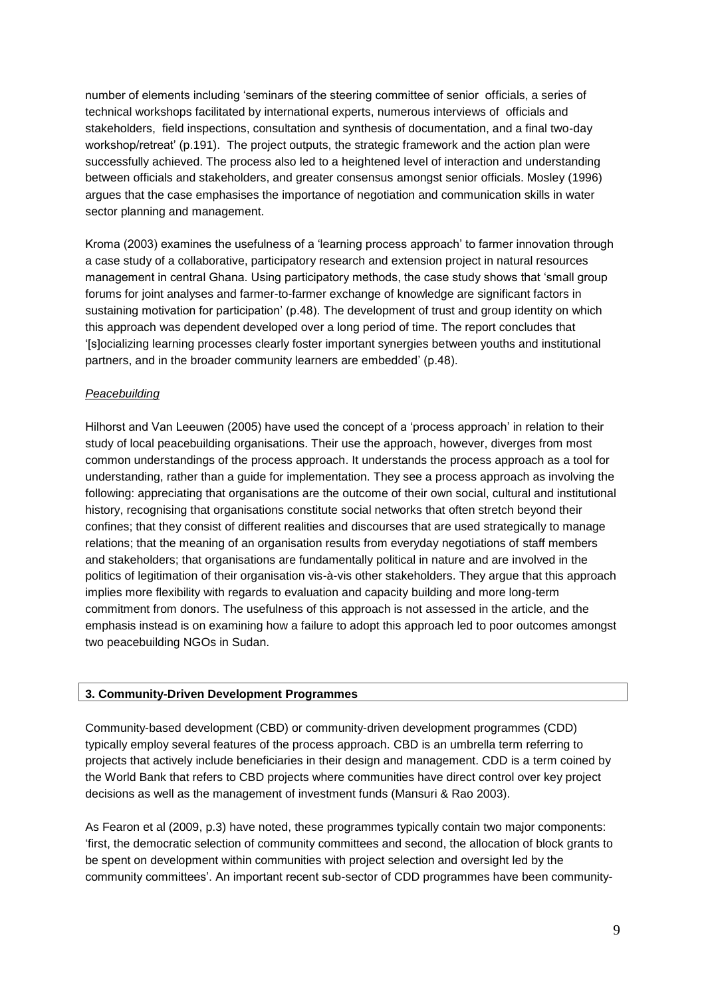number of elements including 'seminars of the steering committee of senior officials, a series of technical workshops facilitated by international experts, numerous interviews of officials and stakeholders, field inspections, consultation and synthesis of documentation, and a final two-day workshop/retreat' (p.191). The project outputs, the strategic framework and the action plan were successfully achieved. The process also led to a heightened level of interaction and understanding between officials and stakeholders, and greater consensus amongst senior officials. Mosley (1996) argues that the case emphasises the importance of negotiation and communication skills in water sector planning and management.

Kroma (2003) examines the usefulness of a 'learning process approach' to farmer innovation through a case study of a collaborative, participatory research and extension project in natural resources management in central Ghana. Using participatory methods, the case study shows that 'small group forums for joint analyses and farmer-to-farmer exchange of knowledge are significant factors in sustaining motivation for participation' (p.48). The development of trust and group identity on which this approach was dependent developed over a long period of time. The report concludes that '[s]ocializing learning processes clearly foster important synergies between youths and institutional partners, and in the broader community learners are embedded' (p.48).

# *Peacebuilding*

Hilhorst and Van Leeuwen (2005) have used the concept of a 'process approach' in relation to their study of local peacebuilding organisations. Their use the approach, however, diverges from most common understandings of the process approach. It understands the process approach as a tool for understanding, rather than a guide for implementation. They see a process approach as involving the following: appreciating that organisations are the outcome of their own social, cultural and institutional history, recognising that organisations constitute social networks that often stretch beyond their confines; that they consist of different realities and discourses that are used strategically to manage relations; that the meaning of an organisation results from everyday negotiations of staff members and stakeholders; that organisations are fundamentally political in nature and are involved in the politics of legitimation of their organisation vis-à-vis other stakeholders. They argue that this approach implies more flexibility with regards to evaluation and capacity building and more long-term commitment from donors. The usefulness of this approach is not assessed in the article, and the emphasis instead is on examining how a failure to adopt this approach led to poor outcomes amongst two peacebuilding NGOs in Sudan.

# <span id="page-8-0"></span>**3. Community-Driven Development Programmes**

Community-based development (CBD) or community-driven development programmes (CDD) typically employ several features of the process approach. CBD is an umbrella term referring to projects that actively include beneficiaries in their design and management. CDD is a term coined by the World Bank that refers to CBD projects where communities have direct control over key project decisions as well as the management of investment funds (Mansuri & Rao 2003).

As Fearon et al (2009, p.3) have noted, these programmes typically contain two major components: 'first, the democratic selection of community committees and second, the allocation of block grants to be spent on development within communities with project selection and oversight led by the community committees'. An important recent sub-sector of CDD programmes have been community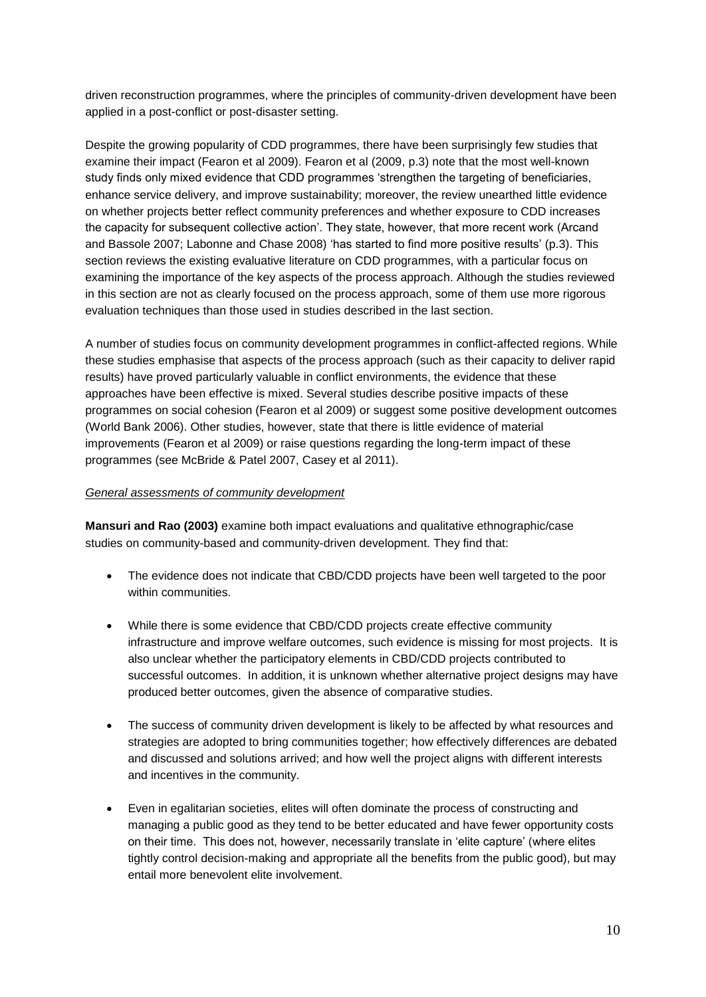driven reconstruction programmes, where the principles of community-driven development have been applied in a post-conflict or post-disaster setting.

Despite the growing popularity of CDD programmes, there have been surprisingly few studies that examine their impact (Fearon et al 2009). Fearon et al (2009, p.3) note that the most well-known study finds only mixed evidence that CDD programmes 'strengthen the targeting of beneficiaries, enhance service delivery, and improve sustainability; moreover, the review unearthed little evidence on whether projects better reflect community preferences and whether exposure to CDD increases the capacity for subsequent collective action'. They state, however, that more recent work (Arcand and Bassole 2007; Labonne and Chase 2008) 'has started to find more positive results' (p.3). This section reviews the existing evaluative literature on CDD programmes, with a particular focus on examining the importance of the key aspects of the process approach. Although the studies reviewed in this section are not as clearly focused on the process approach, some of them use more rigorous evaluation techniques than those used in studies described in the last section.

A number of studies focus on community development programmes in conflict-affected regions. While these studies emphasise that aspects of the process approach (such as their capacity to deliver rapid results) have proved particularly valuable in conflict environments, the evidence that these approaches have been effective is mixed. Several studies describe positive impacts of these programmes on social cohesion (Fearon et al 2009) or suggest some positive development outcomes (World Bank 2006). Other studies, however, state that there is little evidence of material improvements (Fearon et al 2009) or raise questions regarding the long-term impact of these programmes (see McBride & Patel 2007, Casey et al 2011).

## *General assessments of community development*

**Mansuri and Rao (2003)** examine both impact evaluations and qualitative ethnographic/case studies on community-based and community-driven development. They find that:

- The evidence does not indicate that CBD/CDD projects have been well targeted to the poor within communities.
- While there is some evidence that CBD/CDD projects create effective community infrastructure and improve welfare outcomes, such evidence is missing for most projects. It is also unclear whether the participatory elements in CBD/CDD projects contributed to successful outcomes. In addition, it is unknown whether alternative project designs may have produced better outcomes, given the absence of comparative studies.
- The success of community driven development is likely to be affected by what resources and strategies are adopted to bring communities together; how effectively differences are debated and discussed and solutions arrived; and how well the project aligns with different interests and incentives in the community.
- Even in egalitarian societies, elites will often dominate the process of constructing and managing a public good as they tend to be better educated and have fewer opportunity costs on their time. This does not, however, necessarily translate in 'elite capture' (where elites tightly control decision-making and appropriate all the benefits from the public good), but may entail more benevolent elite involvement.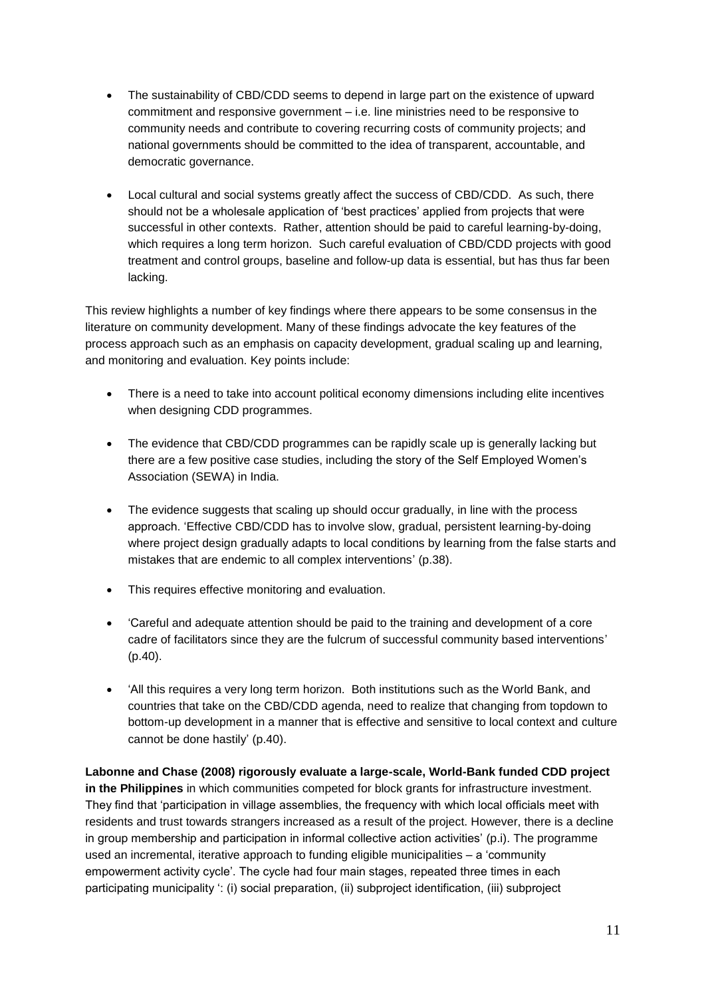- The sustainability of CBD/CDD seems to depend in large part on the existence of upward commitment and responsive government – i.e. line ministries need to be responsive to community needs and contribute to covering recurring costs of community projects; and national governments should be committed to the idea of transparent, accountable, and democratic governance.
- Local cultural and social systems greatly affect the success of CBD/CDD. As such, there should not be a wholesale application of 'best practices' applied from projects that were successful in other contexts. Rather, attention should be paid to careful learning-by-doing, which requires a long term horizon. Such careful evaluation of CBD/CDD projects with good treatment and control groups, baseline and follow-up data is essential, but has thus far been lacking.

This review highlights a number of key findings where there appears to be some consensus in the literature on community development. Many of these findings advocate the key features of the process approach such as an emphasis on capacity development, gradual scaling up and learning, and monitoring and evaluation. Key points include:

- There is a need to take into account political economy dimensions including elite incentives when designing CDD programmes.
- The evidence that CBD/CDD programmes can be rapidly scale up is generally lacking but there are a few positive case studies, including the story of the Self Employed Women's Association (SEWA) in India.
- The evidence suggests that scaling up should occur gradually, in line with the process approach. 'Effective CBD/CDD has to involve slow, gradual, persistent learning-by-doing where project design gradually adapts to local conditions by learning from the false starts and mistakes that are endemic to all complex interventions' (p.38).
- This requires effective monitoring and evaluation.
- 'Careful and adequate attention should be paid to the training and development of a core cadre of facilitators since they are the fulcrum of successful community based interventions' (p.40).
- 'All this requires a very long term horizon. Both institutions such as the World Bank, and countries that take on the CBD/CDD agenda, need to realize that changing from topdown to bottom-up development in a manner that is effective and sensitive to local context and culture cannot be done hastily' (p.40).

**Labonne and Chase (2008) rigorously evaluate a large-scale, World-Bank funded CDD project in the Philippines** in which communities competed for block grants for infrastructure investment. They find that 'participation in village assemblies, the frequency with which local officials meet with residents and trust towards strangers increased as a result of the project. However, there is a decline in group membership and participation in informal collective action activities' (p.i). The programme used an incremental, iterative approach to funding eligible municipalities – a 'community empowerment activity cycle'. The cycle had four main stages, repeated three times in each participating municipality ': (i) social preparation, (ii) subproject identification, (iii) subproject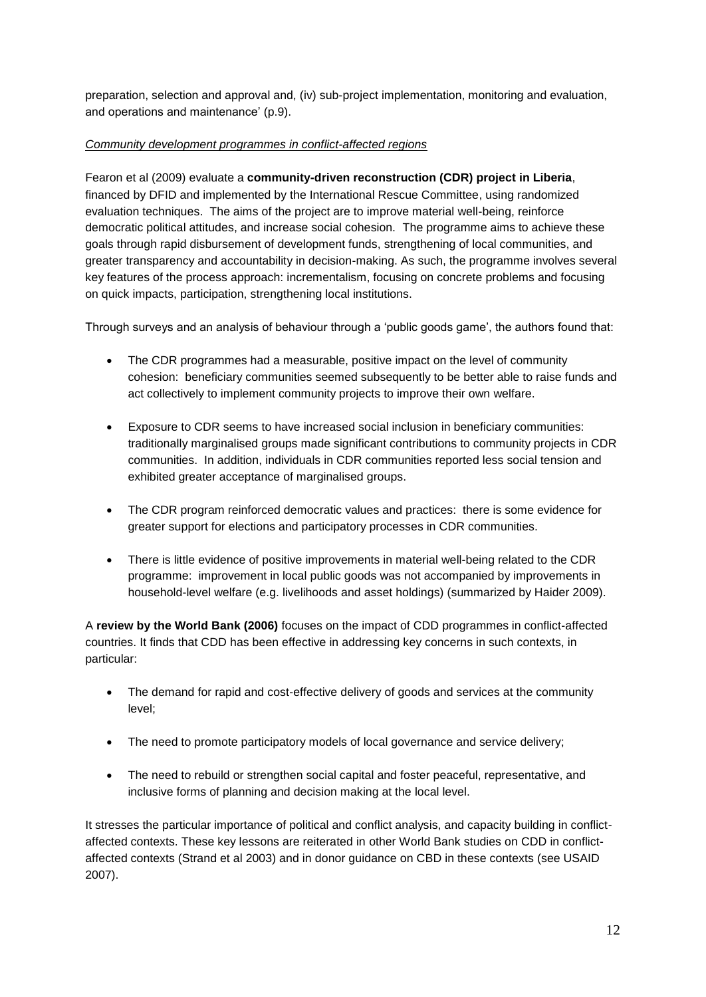preparation, selection and approval and, (iv) sub-project implementation, monitoring and evaluation, and operations and maintenance' (p.9).

# *Community development programmes in conflict-affected regions*

Fearon et al (2009) evaluate a **community-driven reconstruction (CDR) project in Liberia**, financed by DFID and implemented by the International Rescue Committee, using randomized evaluation techniques. The aims of the project are to improve material well-being, reinforce democratic political attitudes, and increase social cohesion. The programme aims to achieve these goals through rapid disbursement of development funds, strengthening of local communities, and greater transparency and accountability in decision-making. As such, the programme involves several key features of the process approach: incrementalism, focusing on concrete problems and focusing on quick impacts, participation, strengthening local institutions.

Through surveys and an analysis of behaviour through a 'public goods game', the authors found that:

- The CDR programmes had a measurable, positive impact on the level of community cohesion: beneficiary communities seemed subsequently to be better able to raise funds and act collectively to implement community projects to improve their own welfare.
- Exposure to CDR seems to have increased social inclusion in beneficiary communities: traditionally marginalised groups made significant contributions to community projects in CDR communities. In addition, individuals in CDR communities reported less social tension and exhibited greater acceptance of marginalised groups.
- The CDR program reinforced democratic values and practices: there is some evidence for greater support for elections and participatory processes in CDR communities.
- There is little evidence of positive improvements in material well-being related to the CDR programme: improvement in local public goods was not accompanied by improvements in household-level welfare (e.g. livelihoods and asset holdings) (summarized by Haider 2009).

A **review by the World Bank (2006)** focuses on the impact of CDD programmes in conflict-affected countries. It finds that CDD has been effective in addressing key concerns in such contexts, in particular:

- The demand for rapid and cost-effective delivery of goods and services at the community level;
- The need to promote participatory models of local governance and service delivery;
- The need to rebuild or strengthen social capital and foster peaceful, representative, and inclusive forms of planning and decision making at the local level.

It stresses the particular importance of political and conflict analysis, and capacity building in conflictaffected contexts. These key lessons are reiterated in other World Bank studies on CDD in conflictaffected contexts (Strand et al 2003) and in donor guidance on CBD in these contexts (see USAID 2007).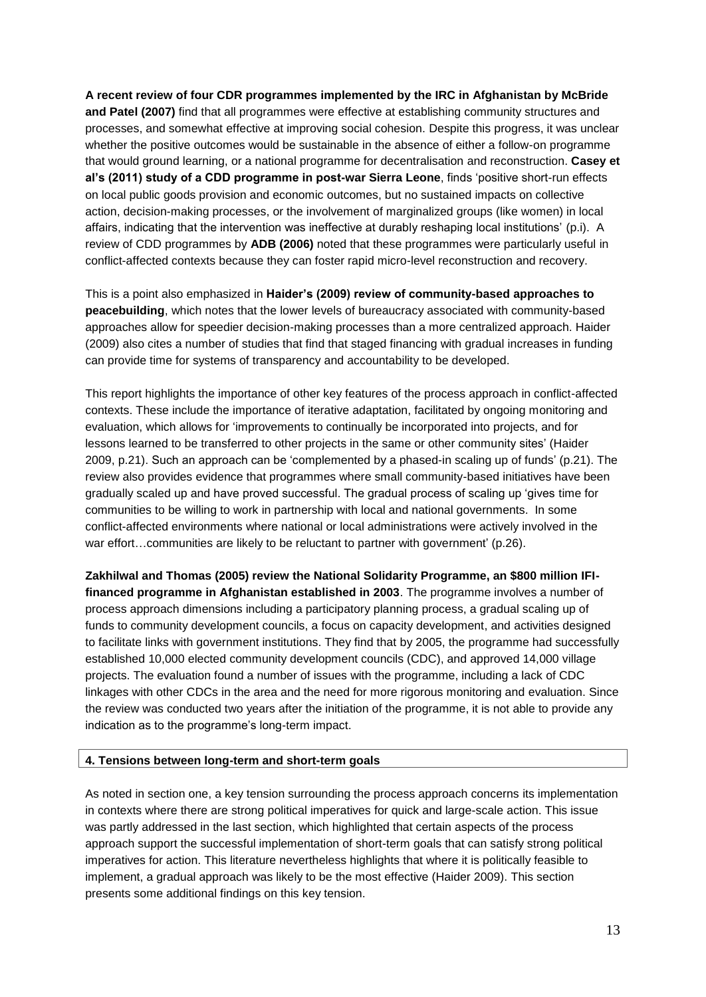**A recent review of four CDR programmes implemented by the IRC in Afghanistan by McBride and Patel (2007)** find that all programmes were effective at establishing community structures and processes, and somewhat effective at improving social cohesion. Despite this progress, it was unclear whether the positive outcomes would be sustainable in the absence of either a follow-on programme that would ground learning, or a national programme for decentralisation and reconstruction. **Casey et al's (2011) study of a CDD programme in post-war Sierra Leone**, finds 'positive short-run effects on local public goods provision and economic outcomes, but no sustained impacts on collective action, decision-making processes, or the involvement of marginalized groups (like women) in local affairs, indicating that the intervention was ineffective at durably reshaping local institutions' (p.i). A review of CDD programmes by **ADB (2006)** noted that these programmes were particularly useful in conflict-affected contexts because they can foster rapid micro-level reconstruction and recovery.

This is a point also emphasized in **Haider's (2009) review of community-based approaches to peacebuilding**, which notes that the lower levels of bureaucracy associated with community-based approaches allow for speedier decision-making processes than a more centralized approach. Haider (2009) also cites a number of studies that find that staged financing with gradual increases in funding can provide time for systems of transparency and accountability to be developed.

This report highlights the importance of other key features of the process approach in conflict-affected contexts. These include the importance of iterative adaptation, facilitated by ongoing monitoring and evaluation, which allows for 'improvements to continually be incorporated into projects, and for lessons learned to be transferred to other projects in the same or other community sites' (Haider 2009, p.21). Such an approach can be 'complemented by a phased-in scaling up of funds' (p.21). The review also provides evidence that programmes where small community-based initiatives have been gradually scaled up and have proved successful. The gradual process of scaling up 'gives time for communities to be willing to work in partnership with local and national governments. In some conflict-affected environments where national or local administrations were actively involved in the war effort...communities are likely to be reluctant to partner with government' (p.26).

**Zakhilwal and Thomas (2005) review the National Solidarity Programme, an \$800 million IFIfinanced programme in Afghanistan established in 2003**. The programme involves a number of process approach dimensions including a participatory planning process, a gradual scaling up of funds to community development councils, a focus on capacity development, and activities designed to facilitate links with government institutions. They find that by 2005, the programme had successfully established 10,000 elected community development councils (CDC), and approved 14,000 village projects. The evaluation found a number of issues with the programme, including a lack of CDC linkages with other CDCs in the area and the need for more rigorous monitoring and evaluation. Since the review was conducted two years after the initiation of the programme, it is not able to provide any indication as to the programme's long-term impact.

### <span id="page-12-0"></span>**4. Tensions between long-term and short-term goals**

As noted in section one, a key tension surrounding the process approach concerns its implementation in contexts where there are strong political imperatives for quick and large-scale action. This issue was partly addressed in the last section, which highlighted that certain aspects of the process approach support the successful implementation of short-term goals that can satisfy strong political imperatives for action. This literature nevertheless highlights that where it is politically feasible to implement, a gradual approach was likely to be the most effective (Haider 2009). This section presents some additional findings on this key tension.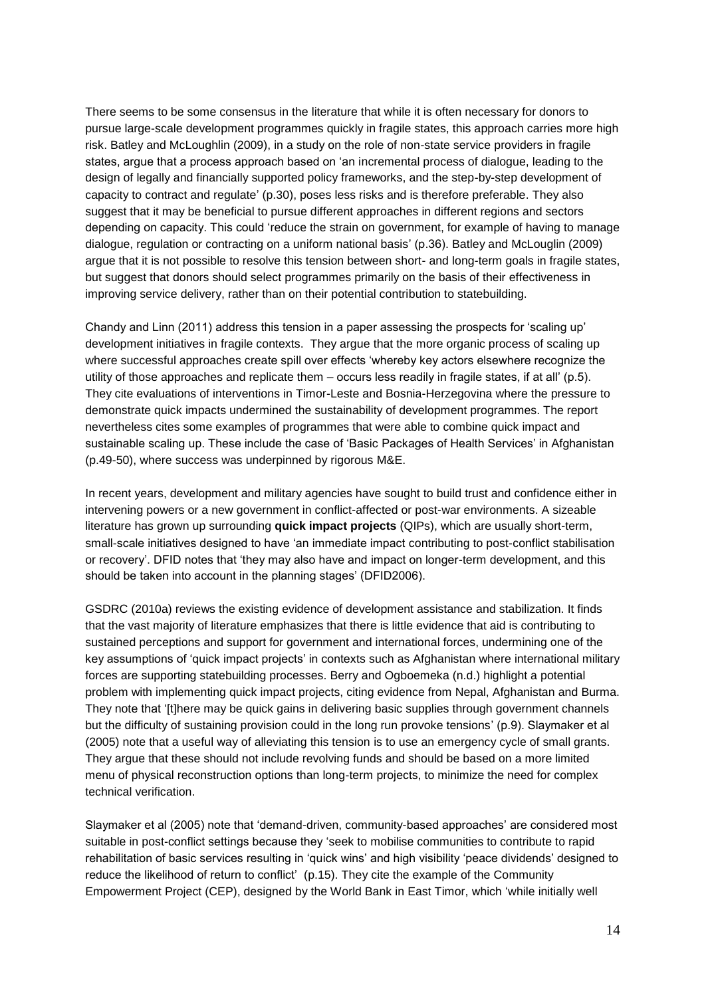There seems to be some consensus in the literature that while it is often necessary for donors to pursue large-scale development programmes quickly in fragile states, this approach carries more high risk. Batley and McLoughlin (2009), in a study on the role of non-state service providers in fragile states, argue that a process approach based on 'an incremental process of dialogue, leading to the design of legally and financially supported policy frameworks, and the step-by-step development of capacity to contract and regulate' (p.30), poses less risks and is therefore preferable. They also suggest that it may be beneficial to pursue different approaches in different regions and sectors depending on capacity. This could 'reduce the strain on government, for example of having to manage dialogue, regulation or contracting on a uniform national basis' (p.36). Batley and McLouglin (2009) argue that it is not possible to resolve this tension between short- and long-term goals in fragile states, but suggest that donors should select programmes primarily on the basis of their effectiveness in improving service delivery, rather than on their potential contribution to statebuilding.

Chandy and Linn (2011) address this tension in a paper assessing the prospects for 'scaling up' development initiatives in fragile contexts. They argue that the more organic process of scaling up where successful approaches create spill over effects 'whereby key actors elsewhere recognize the utility of those approaches and replicate them – occurs less readily in fragile states, if at all' (p.5). They cite evaluations of interventions in Timor-Leste and Bosnia-Herzegovina where the pressure to demonstrate quick impacts undermined the sustainability of development programmes. The report nevertheless cites some examples of programmes that were able to combine quick impact and sustainable scaling up. These include the case of 'Basic Packages of Health Services' in Afghanistan (p.49-50), where success was underpinned by rigorous M&E.

In recent years, development and military agencies have sought to build trust and confidence either in intervening powers or a new government in conflict-affected or post-war environments. A sizeable literature has grown up surrounding **quick impact projects** (QIPs), which are usually short-term, small-scale initiatives designed to have 'an immediate impact contributing to post-conflict stabilisation or recovery'. DFID notes that 'they may also have and impact on longer-term development, and this should be taken into account in the planning stages' (DFID2006).

GSDRC (2010a) reviews the existing evidence of development assistance and stabilization. It finds that the vast majority of literature emphasizes that there is little evidence that aid is contributing to sustained perceptions and support for government and international forces, undermining one of the key assumptions of 'quick impact projects' in contexts such as Afghanistan where international military forces are supporting statebuilding processes. Berry and Ogboemeka (n.d.) highlight a potential problem with implementing quick impact projects, citing evidence from Nepal, Afghanistan and Burma. They note that '[t]here may be quick gains in delivering basic supplies through government channels but the difficulty of sustaining provision could in the long run provoke tensions' (p.9). Slaymaker et al (2005) note that a useful way of alleviating this tension is to use an emergency cycle of small grants. They argue that these should not include revolving funds and should be based on a more limited menu of physical reconstruction options than long-term projects, to minimize the need for complex technical verification.

Slaymaker et al (2005) note that 'demand-driven, community-based approaches' are considered most suitable in post-conflict settings because they 'seek to mobilise communities to contribute to rapid rehabilitation of basic services resulting in 'quick wins' and high visibility 'peace dividends' designed to reduce the likelihood of return to conflict' (p.15). They cite the example of the Community Empowerment Project (CEP), designed by the World Bank in East Timor, which 'while initially well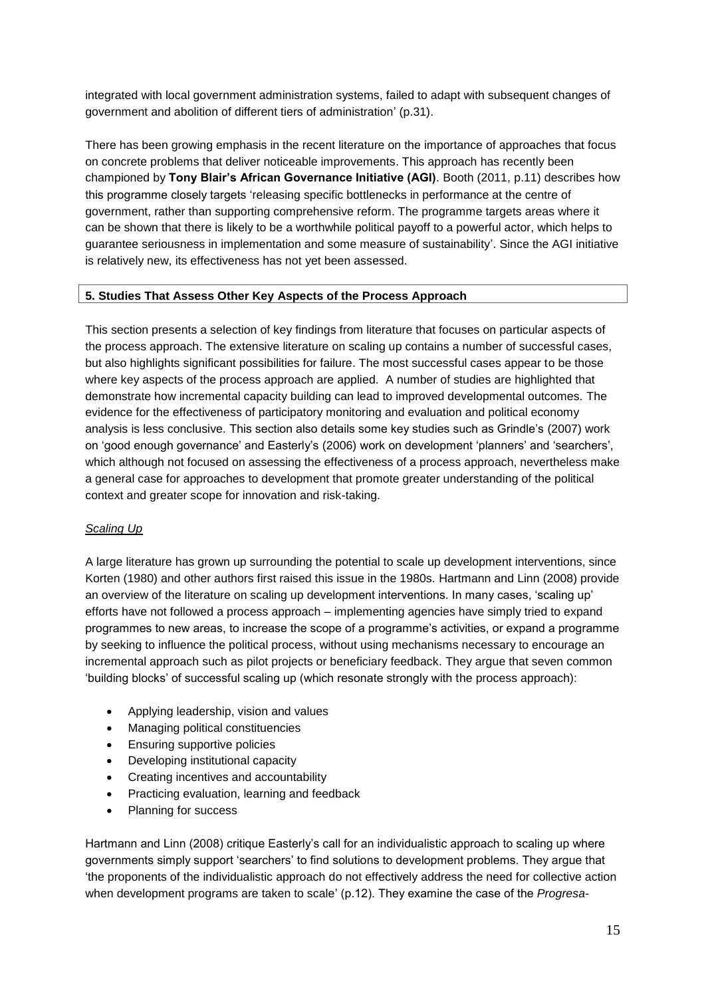integrated with local government administration systems, failed to adapt with subsequent changes of government and abolition of different tiers of administration' (p.31).

There has been growing emphasis in the recent literature on the importance of approaches that focus on concrete problems that deliver noticeable improvements. This approach has recently been championed by **Tony Blair's African Governance Initiative (AGI)**. Booth (2011, p.11) describes how this programme closely targets 'releasing specific bottlenecks in performance at the centre of government, rather than supporting comprehensive reform. The programme targets areas where it can be shown that there is likely to be a worthwhile political payoff to a powerful actor, which helps to guarantee seriousness in implementation and some measure of sustainability'. Since the AGI initiative is relatively new, its effectiveness has not yet been assessed.

# <span id="page-14-0"></span>**5. Studies That Assess Other Key Aspects of the Process Approach**

This section presents a selection of key findings from literature that focuses on particular aspects of the process approach. The extensive literature on scaling up contains a number of successful cases, but also highlights significant possibilities for failure. The most successful cases appear to be those where key aspects of the process approach are applied. A number of studies are highlighted that demonstrate how incremental capacity building can lead to improved developmental outcomes. The evidence for the effectiveness of participatory monitoring and evaluation and political economy analysis is less conclusive. This section also details some key studies such as Grindle's (2007) work on 'good enough governance' and Easterly's (2006) work on development 'planners' and 'searchers', which although not focused on assessing the effectiveness of a process approach, nevertheless make a general case for approaches to development that promote greater understanding of the political context and greater scope for innovation and risk-taking.

### *Scaling Up*

A large literature has grown up surrounding the potential to scale up development interventions, since Korten (1980) and other authors first raised this issue in the 1980s. Hartmann and Linn (2008) provide an overview of the literature on scaling up development interventions. In many cases, 'scaling up' efforts have not followed a process approach – implementing agencies have simply tried to expand programmes to new areas, to increase the scope of a programme's activities, or expand a programme by seeking to influence the political process, without using mechanisms necessary to encourage an incremental approach such as pilot projects or beneficiary feedback. They argue that seven common 'building blocks' of successful scaling up (which resonate strongly with the process approach):

- Applying leadership, vision and values
- Managing political constituencies
- Ensuring supportive policies
- Developing institutional capacity
- Creating incentives and accountability
- Practicing evaluation, learning and feedback
- Planning for success

Hartmann and Linn (2008) critique Easterly's call for an individualistic approach to scaling up where governments simply support 'searchers' to find solutions to development problems. They argue that 'the proponents of the individualistic approach do not effectively address the need for collective action when development programs are taken to scale' (p.12). They examine the case of the *Progresa-*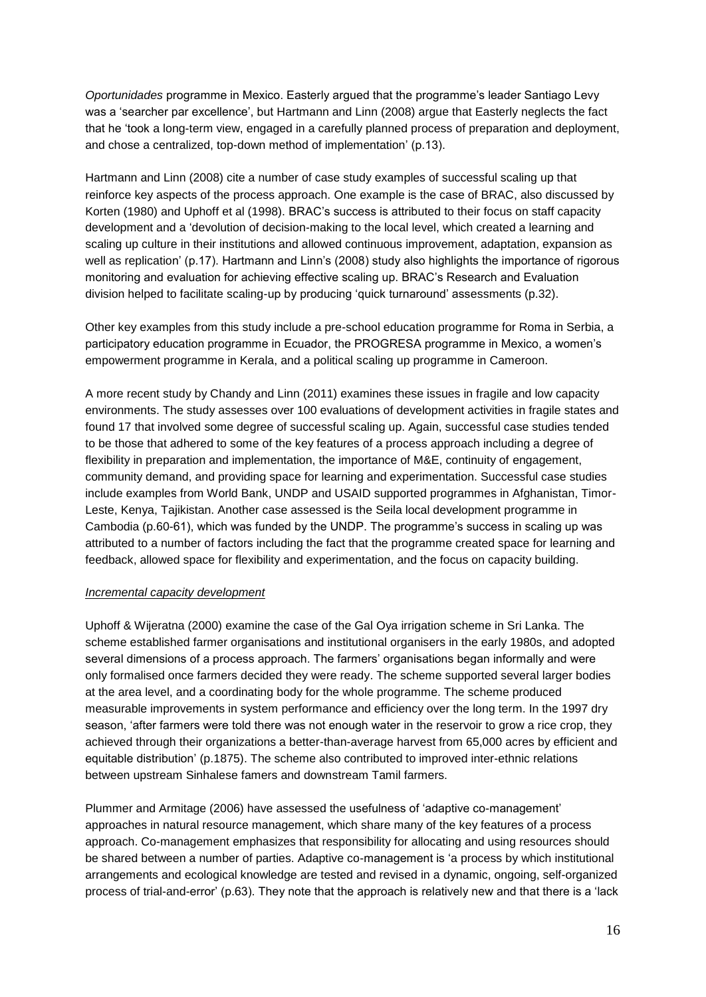*Oportunidades* programme in Mexico. Easterly argued that the programme's leader Santiago Levy was a 'searcher par excellence', but Hartmann and Linn (2008) argue that Easterly neglects the fact that he 'took a long-term view, engaged in a carefully planned process of preparation and deployment, and chose a centralized, top-down method of implementation' (p.13).

Hartmann and Linn (2008) cite a number of case study examples of successful scaling up that reinforce key aspects of the process approach. One example is the case of BRAC, also discussed by Korten (1980) and Uphoff et al (1998). BRAC's success is attributed to their focus on staff capacity development and a 'devolution of decision-making to the local level, which created a learning and scaling up culture in their institutions and allowed continuous improvement, adaptation, expansion as well as replication' (p.17). Hartmann and Linn's (2008) study also highlights the importance of rigorous monitoring and evaluation for achieving effective scaling up. BRAC's Research and Evaluation division helped to facilitate scaling-up by producing 'quick turnaround' assessments (p.32).

Other key examples from this study include a pre-school education programme for Roma in Serbia, a participatory education programme in Ecuador, the PROGRESA programme in Mexico, a women's empowerment programme in Kerala, and a political scaling up programme in Cameroon.

A more recent study by Chandy and Linn (2011) examines these issues in fragile and low capacity environments. The study assesses over 100 evaluations of development activities in fragile states and found 17 that involved some degree of successful scaling up. Again, successful case studies tended to be those that adhered to some of the key features of a process approach including a degree of flexibility in preparation and implementation, the importance of M&E, continuity of engagement, community demand, and providing space for learning and experimentation. Successful case studies include examples from World Bank, UNDP and USAID supported programmes in Afghanistan, Timor-Leste, Kenya, Tajikistan. Another case assessed is the Seila local development programme in Cambodia (p.60-61), which was funded by the UNDP. The programme's success in scaling up was attributed to a number of factors including the fact that the programme created space for learning and feedback, allowed space for flexibility and experimentation, and the focus on capacity building.

# *Incremental capacity development*

Uphoff & Wijeratna (2000) examine the case of the Gal Oya irrigation scheme in Sri Lanka. The scheme established farmer organisations and institutional organisers in the early 1980s, and adopted several dimensions of a process approach. The farmers' organisations began informally and were only formalised once farmers decided they were ready. The scheme supported several larger bodies at the area level, and a coordinating body for the whole programme. The scheme produced measurable improvements in system performance and efficiency over the long term. In the 1997 dry season, 'after farmers were told there was not enough water in the reservoir to grow a rice crop, they achieved through their organizations a better-than-average harvest from 65,000 acres by efficient and equitable distribution' (p.1875). The scheme also contributed to improved inter-ethnic relations between upstream Sinhalese famers and downstream Tamil farmers.

Plummer and Armitage (2006) have assessed the usefulness of 'adaptive co-management' approaches in natural resource management, which share many of the key features of a process approach. Co-management emphasizes that responsibility for allocating and using resources should be shared between a number of parties. Adaptive co-management is 'a process by which institutional arrangements and ecological knowledge are tested and revised in a dynamic, ongoing, self-organized process of trial-and-error' (p.63). They note that the approach is relatively new and that there is a 'lack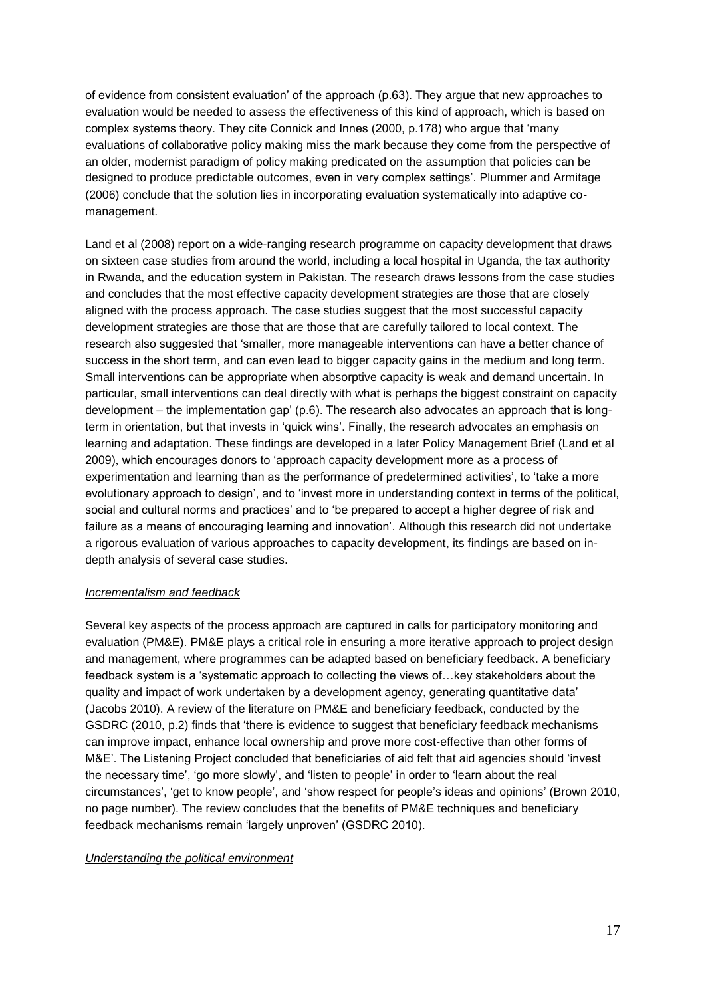of evidence from consistent evaluation' of the approach (p.63). They argue that new approaches to evaluation would be needed to assess the effectiveness of this kind of approach, which is based on complex systems theory. They cite Connick and Innes (2000, p.178) who argue that 'many evaluations of collaborative policy making miss the mark because they come from the perspective of an older, modernist paradigm of policy making predicated on the assumption that policies can be designed to produce predictable outcomes, even in very complex settings'. Plummer and Armitage (2006) conclude that the solution lies in incorporating evaluation systematically into adaptive comanagement.

Land et al (2008) report on a wide-ranging research programme on capacity development that draws on sixteen case studies from around the world, including a local hospital in Uganda, the tax authority in Rwanda, and the education system in Pakistan. The research draws lessons from the case studies and concludes that the most effective capacity development strategies are those that are closely aligned with the process approach. The case studies suggest that the most successful capacity development strategies are those that are those that are carefully tailored to local context. The research also suggested that 'smaller, more manageable interventions can have a better chance of success in the short term, and can even lead to bigger capacity gains in the medium and long term. Small interventions can be appropriate when absorptive capacity is weak and demand uncertain. In particular, small interventions can deal directly with what is perhaps the biggest constraint on capacity development – the implementation gap' (p.6). The research also advocates an approach that is longterm in orientation, but that invests in 'quick wins'. Finally, the research advocates an emphasis on learning and adaptation. These findings are developed in a later Policy Management Brief (Land et al 2009), which encourages donors to 'approach capacity development more as a process of experimentation and learning than as the performance of predetermined activities', to 'take a more evolutionary approach to design', and to 'invest more in understanding context in terms of the political, social and cultural norms and practices' and to 'be prepared to accept a higher degree of risk and failure as a means of encouraging learning and innovation'. Although this research did not undertake a rigorous evaluation of various approaches to capacity development, its findings are based on indepth analysis of several case studies.

# *Incrementalism and feedback*

Several key aspects of the process approach are captured in calls for participatory monitoring and evaluation (PM&E). PM&E plays a critical role in ensuring a more iterative approach to project design and management, where programmes can be adapted based on beneficiary feedback. A beneficiary feedback system is a 'systematic approach to collecting the views of…key stakeholders about the quality and impact of work undertaken by a development agency, generating quantitative data' (Jacobs 2010). A review of the literature on PM&E and beneficiary feedback, conducted by the GSDRC (2010, p.2) finds that 'there is evidence to suggest that beneficiary feedback mechanisms can improve impact, enhance local ownership and prove more cost-effective than other forms of M&E'. The Listening Project concluded that beneficiaries of aid felt that aid agencies should 'invest the necessary time', 'go more slowly', and 'listen to people' in order to 'learn about the real circumstances', 'get to know people', and 'show respect for people's ideas and opinions' (Brown 2010, no page number). The review concludes that the benefits of PM&E techniques and beneficiary feedback mechanisms remain 'largely unproven' (GSDRC 2010).

### *Understanding the political environment*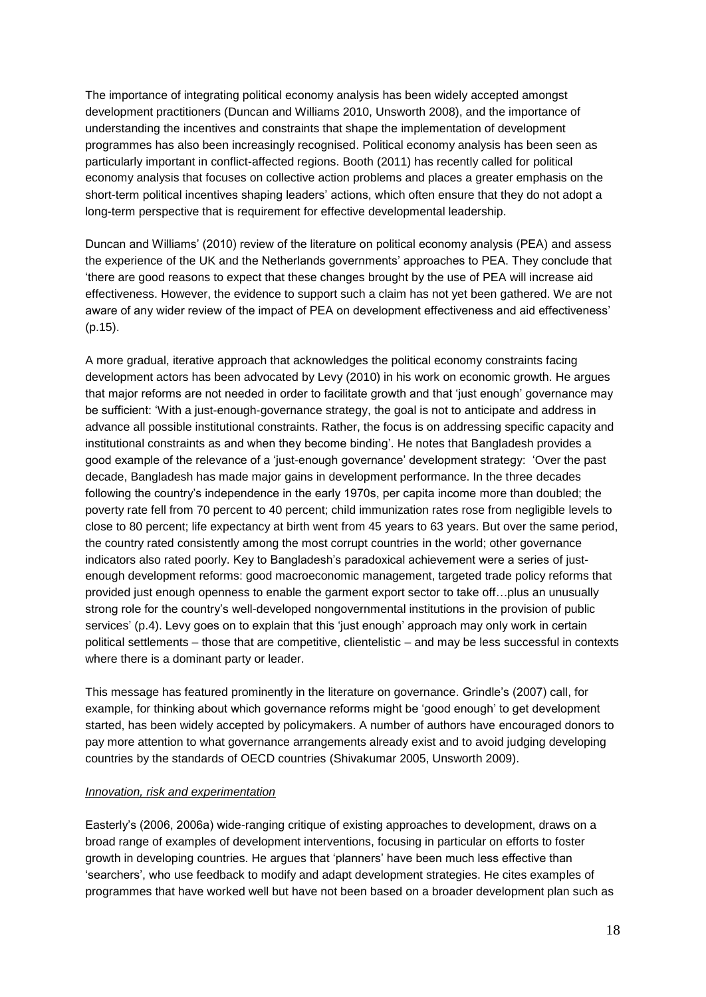The importance of integrating political economy analysis has been widely accepted amongst development practitioners (Duncan and Williams 2010, Unsworth 2008), and the importance of understanding the incentives and constraints that shape the implementation of development programmes has also been increasingly recognised. Political economy analysis has been seen as particularly important in conflict-affected regions. Booth (2011) has recently called for political economy analysis that focuses on collective action problems and places a greater emphasis on the short-term political incentives shaping leaders' actions, which often ensure that they do not adopt a long-term perspective that is requirement for effective developmental leadership.

Duncan and Williams' (2010) review of the literature on political economy analysis (PEA) and assess the experience of the UK and the Netherlands governments' approaches to PEA. They conclude that 'there are good reasons to expect that these changes brought by the use of PEA will increase aid effectiveness. However, the evidence to support such a claim has not yet been gathered. We are not aware of any wider review of the impact of PEA on development effectiveness and aid effectiveness' (p.15).

A more gradual, iterative approach that acknowledges the political economy constraints facing development actors has been advocated by Levy (2010) in his work on economic growth. He argues that major reforms are not needed in order to facilitate growth and that 'just enough' governance may be sufficient: 'With a just-enough-governance strategy, the goal is not to anticipate and address in advance all possible institutional constraints. Rather, the focus is on addressing specific capacity and institutional constraints as and when they become binding'. He notes that Bangladesh provides a good example of the relevance of a 'just-enough governance' development strategy: 'Over the past decade, Bangladesh has made major gains in development performance. In the three decades following the country's independence in the early 1970s, per capita income more than doubled; the poverty rate fell from 70 percent to 40 percent; child immunization rates rose from negligible levels to close to 80 percent; life expectancy at birth went from 45 years to 63 years. But over the same period, the country rated consistently among the most corrupt countries in the world; other governance indicators also rated poorly. Key to Bangladesh's paradoxical achievement were a series of justenough development reforms: good macroeconomic management, targeted trade policy reforms that provided just enough openness to enable the garment export sector to take off…plus an unusually strong role for the country's well-developed nongovernmental institutions in the provision of public services' (p.4). Levy goes on to explain that this 'just enough' approach may only work in certain political settlements – those that are competitive, clientelistic – and may be less successful in contexts where there is a dominant party or leader.

This message has featured prominently in the literature on governance. Grindle's (2007) call, for example, for thinking about which governance reforms might be 'good enough' to get development started, has been widely accepted by policymakers. A number of authors have encouraged donors to pay more attention to what governance arrangements already exist and to avoid judging developing countries by the standards of OECD countries (Shivakumar 2005, Unsworth 2009).

# *Innovation, risk and experimentation*

Easterly's (2006, 2006a) wide-ranging critique of existing approaches to development, draws on a broad range of examples of development interventions, focusing in particular on efforts to foster growth in developing countries. He argues that 'planners' have been much less effective than 'searchers', who use feedback to modify and adapt development strategies. He cites examples of programmes that have worked well but have not been based on a broader development plan such as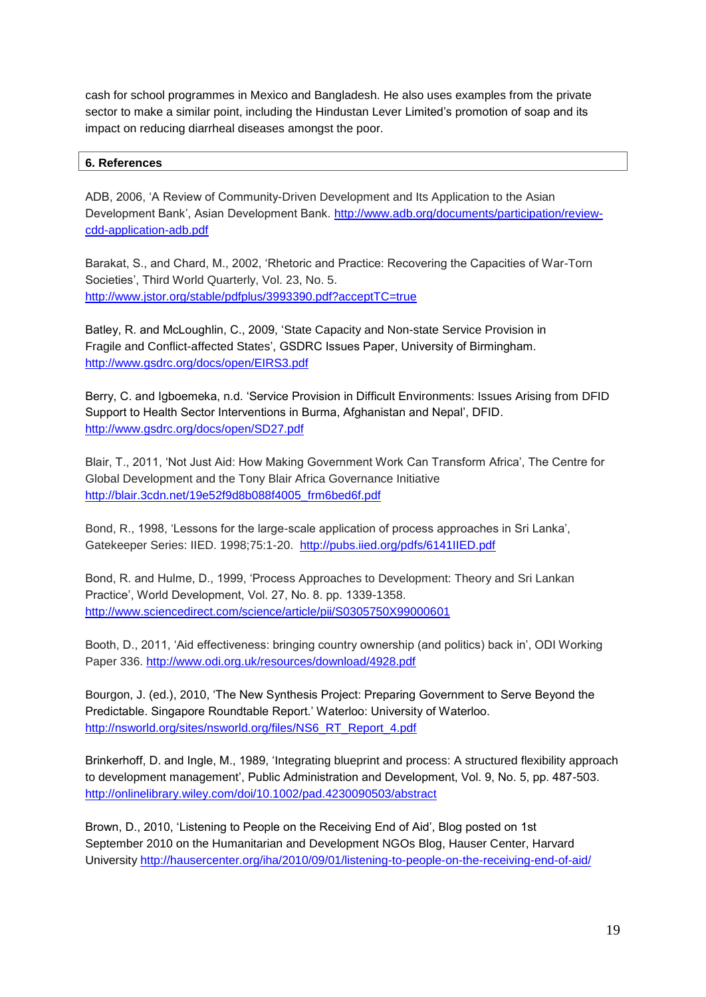cash for school programmes in Mexico and Bangladesh. He also uses examples from the private sector to make a similar point, including the Hindustan Lever Limited's promotion of soap and its impact on reducing diarrheal diseases amongst the poor.

# <span id="page-18-0"></span>**6. References**

ADB, 2006, 'A Review of Community-Driven Development and Its Application to the Asian Development Bank', Asian Development Bank. [http://www.adb.org/documents/participation/review](http://www.adb.org/documents/participation/review-cdd-application-adb.pdf)[cdd-application-adb.pdf](http://www.adb.org/documents/participation/review-cdd-application-adb.pdf)

Barakat, S., and Chard, M., 2002, 'Rhetoric and Practice: Recovering the Capacities of War-Torn Societies', Third World Quarterly, Vol. 23, No. 5. <http://www.jstor.org/stable/pdfplus/3993390.pdf?acceptTC=true>

Batley, R. and McLoughlin, C., 2009, 'State Capacity and Non-state Service Provision in Fragile and Conflict-affected States', GSDRC Issues Paper, University of Birmingham. <http://www.gsdrc.org/docs/open/EIRS3.pdf>

Berry, C. and Igboemeka, n.d. 'Service Provision in Difficult Environments: Issues Arising from DFID Support to Health Sector Interventions in Burma, Afghanistan and Nepal', DFID. <http://www.gsdrc.org/docs/open/SD27.pdf>

Blair, T., 2011, 'Not Just Aid: How Making Government Work Can Transform Africa', The Centre for Global Development and the Tony Blair Africa Governance Initiative [http://blair.3cdn.net/19e52f9d8b088f4005\\_frm6bed6f.pdf](http://blair.3cdn.net/19e52f9d8b088f4005_frm6bed6f.pdf)

Bond, R., 1998, 'Lessons for the large-scale application of process approaches in Sri Lanka', Gatekeeper Series: IIED. 1998;75:1-20. <http://pubs.iied.org/pdfs/6141IIED.pdf>

Bond, R. and Hulme, D., 1999, 'Process Approaches to Development: Theory and Sri Lankan Practice', World Development, Vol. 27, No. 8. pp. 1339-1358. <http://www.sciencedirect.com/science/article/pii/S0305750X99000601>

Booth, D., 2011, 'Aid effectiveness: bringing country ownership (and politics) back in', ODI Working Paper 336.<http://www.odi.org.uk/resources/download/4928.pdf>

Bourgon, J. (ed.), 2010, 'The New Synthesis Project: Preparing Government to Serve Beyond the Predictable. Singapore Roundtable Report.' Waterloo: University of Waterloo. [http://nsworld.org/sites/nsworld.org/files/NS6\\_RT\\_Report\\_4.pdf](http://nsworld.org/sites/nsworld.org/files/NS6_RT_Report_4.pdf)

Brinkerhoff, D. and Ingle, M., 1989, 'Integrating blueprint and process: A structured flexibility approach to development management', Public Administration and Development, Vol. 9, No. 5, pp. 487-503. <http://onlinelibrary.wiley.com/doi/10.1002/pad.4230090503/abstract>

Brown, D., 2010, 'Listening to People on the Receiving End of Aid', Blog posted on 1st September 2010 on the Humanitarian and Development NGOs Blog, Hauser Center, Harvard University<http://hausercenter.org/iha/2010/09/01/listening-to-people-on-the-receiving-end-of-aid/>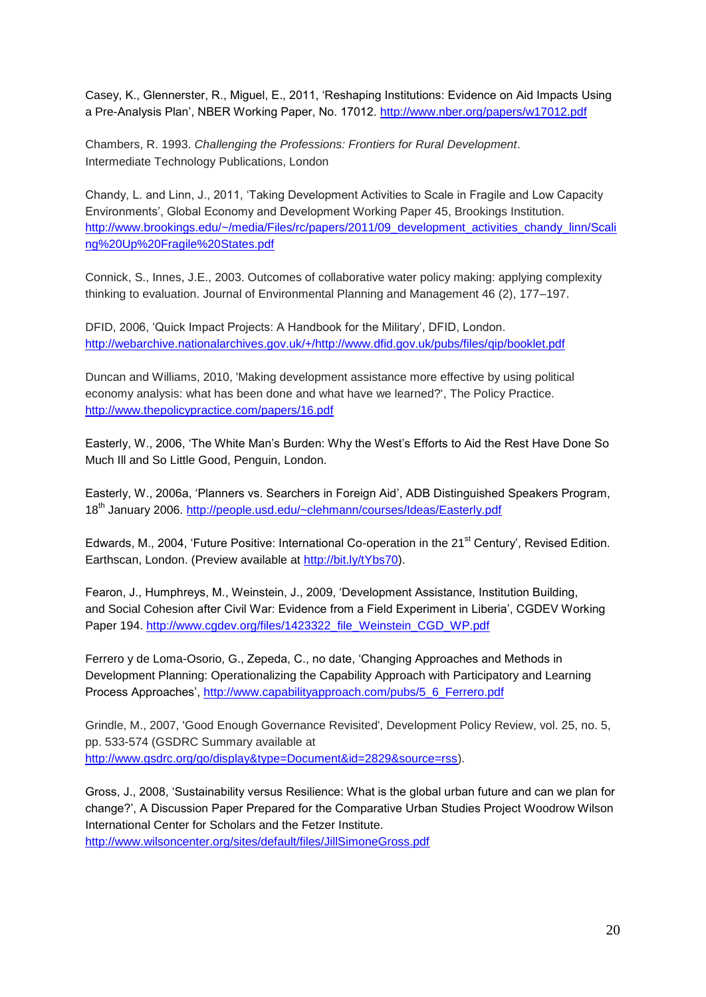Casey, K., Glennerster, R., Miguel, E., 2011, 'Reshaping Institutions: Evidence on Aid Impacts Using a Pre-Analysis Plan', NBER Working Paper, No. 17012.<http://www.nber.org/papers/w17012.pdf>

Chambers, R. 1993. *Challenging the Professions: Frontiers for Rural Development*. Intermediate Technology Publications, London

Chandy, L. and Linn, J., 2011, 'Taking Development Activities to Scale in Fragile and Low Capacity Environments', Global Economy and Development Working Paper 45, Brookings Institution. [http://www.brookings.edu/~/media/Files/rc/papers/2011/09\\_development\\_activities\\_chandy\\_linn/Scali](http://www.brookings.edu/~/media/Files/rc/papers/2011/09_development_activities_chandy_linn/Scaling%20Up%20Fragile%20States.pdf) [ng%20Up%20Fragile%20States.pdf](http://www.brookings.edu/~/media/Files/rc/papers/2011/09_development_activities_chandy_linn/Scaling%20Up%20Fragile%20States.pdf)

Connick, S., Innes, J.E., 2003. Outcomes of collaborative water policy making: applying complexity thinking to evaluation. Journal of Environmental Planning and Management 46 (2), 177–197.

DFID, 2006, 'Quick Impact Projects: A Handbook for the Military', DFID, London. [http://webarchive.nationalarchives.gov.uk/+/http://www.dfid.gov.uk/pubs/files/qip/booklet.pdf](http://webarchive.nationalarchives.gov.uk/+/http:/www.dfid.gov.uk/pubs/files/qip/booklet.pdf)

Duncan and Williams, 2010, 'Making development assistance more effective by using political economy analysis: what has been done and what have we learned?', The Policy Practice. <http://www.thepolicypractice.com/papers/16.pdf>

Easterly, W., 2006, 'The White Man's Burden: Why the West's Efforts to Aid the Rest Have Done So Much Ill and So Little Good, Penguin, London.

Easterly, W., 2006a, 'Planners vs. Searchers in Foreign Aid', ADB Distinguished Speakers Program, 18<sup>th</sup> January 2006.<http://people.usd.edu/~clehmann/courses/Ideas/Easterly.pdf>

Edwards, M., 2004, 'Future Positive: International Co-operation in the 21<sup>st</sup> Century', Revised Edition. Earthscan, London. (Preview available at [http://bit.ly/tYbs70\)](http://bit.ly/tYbs70).

Fearon, J., Humphreys, M., Weinstein, J., 2009, 'Development Assistance, Institution Building, and Social Cohesion after Civil War: Evidence from a Field Experiment in Liberia', CGDEV Working Paper 194. [http://www.cgdev.org/files/1423322\\_file\\_Weinstein\\_CGD\\_WP.pdf](http://www.cgdev.org/files/1423322_file_Weinstein_CGD_WP.pdf)

Ferrero y de Loma-Osorio, G., Zepeda, C., no date, 'Changing Approaches and Methods in Development Planning: Operationalizing the Capability Approach with Participatory and Learning Process Approaches', [http://www.capabilityapproach.com/pubs/5\\_6\\_Ferrero.pdf](http://www.capabilityapproach.com/pubs/5_6_Ferrero.pdf)

Grindle, M., 2007, 'Good Enough Governance Revisited', Development Policy Review, vol. 25, no. 5, pp. 533-574 (GSDRC Summary available at [http://www.gsdrc.org/go/display&type=Document&id=2829&source=rss\)](http://www.gsdrc.org/go/display&type=Document&id=2829&source=rss).

Gross, J., 2008, 'Sustainability versus Resilience: What is the global urban future and can we plan for change?', A Discussion Paper Prepared for the Comparative Urban Studies Project Woodrow Wilson International Center for Scholars and the Fetzer Institute. <http://www.wilsoncenter.org/sites/default/files/JillSimoneGross.pdf>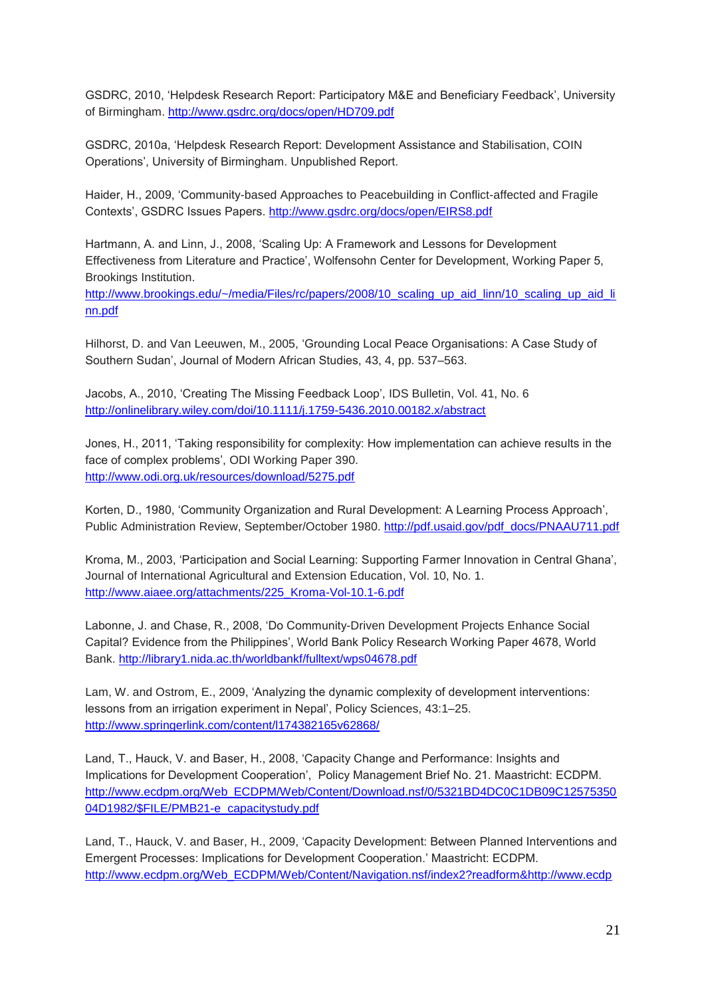GSDRC, 2010, 'Helpdesk Research Report: Participatory M&E and Beneficiary Feedback', University of Birmingham.<http://www.gsdrc.org/docs/open/HD709.pdf>

GSDRC, 2010a, 'Helpdesk Research Report: Development Assistance and Stabilisation, COIN Operations', University of Birmingham. Unpublished Report.

Haider, H., 2009, 'Community-based Approaches to Peacebuilding in Conflict-affected and Fragile Contexts', GSDRC Issues Papers.<http://www.gsdrc.org/docs/open/EIRS8.pdf>

Hartmann, A. and Linn, J., 2008, 'Scaling Up: A Framework and Lessons for Development Effectiveness from Literature and Practice', Wolfensohn Center for Development, Working Paper 5, Brookings Institution.

[http://www.brookings.edu/~/media/Files/rc/papers/2008/10\\_scaling\\_up\\_aid\\_linn/10\\_scaling\\_up\\_aid\\_li](http://www.brookings.edu/~/media/Files/rc/papers/2008/10_scaling_up_aid_linn/10_scaling_up_aid_linn.pdf) [nn.pdf](http://www.brookings.edu/~/media/Files/rc/papers/2008/10_scaling_up_aid_linn/10_scaling_up_aid_linn.pdf)

Hilhorst, D. and Van Leeuwen, M., 2005, 'Grounding Local Peace Organisations: A Case Study of Southern Sudan', Journal of Modern African Studies, 43, 4, pp. 537–563.

Jacobs, A., 2010, 'Creating The Missing Feedback Loop', IDS Bulletin, Vol. 41, No. 6 <http://onlinelibrary.wiley.com/doi/10.1111/j.1759-5436.2010.00182.x/abstract>

Jones, H., 2011, 'Taking responsibility for complexity: How implementation can achieve results in the face of complex problems', ODI Working Paper 390. <http://www.odi.org.uk/resources/download/5275.pdf>

Korten, D., 1980, 'Community Organization and Rural Development: A Learning Process Approach', Public Administration Review, September/October 1980. [http://pdf.usaid.gov/pdf\\_docs/PNAAU711.pdf](http://pdf.usaid.gov/pdf_docs/PNAAU711.pdf)

Kroma, M., 2003, 'Participation and Social Learning: Supporting Farmer Innovation in Central Ghana', Journal of International Agricultural and Extension Education, Vol. 10, No. 1. [http://www.aiaee.org/attachments/225\\_Kroma-Vol-10.1-6.pdf](http://www.aiaee.org/attachments/225_Kroma-Vol-10.1-6.pdf)

Labonne, J. and Chase, R., 2008, 'Do Community-Driven Development Projects Enhance Social Capital? Evidence from the Philippines', World Bank Policy Research Working Paper 4678, World Bank.<http://library1.nida.ac.th/worldbankf/fulltext/wps04678.pdf>

Lam, W. and Ostrom, E., 2009, 'Analyzing the dynamic complexity of development interventions: lessons from an irrigation experiment in Nepal', Policy Sciences, 43:1–25. <http://www.springerlink.com/content/l174382165v62868/>

Land, T., Hauck, V. and Baser, H., 2008, 'Capacity Change and Performance: Insights and Implications for Development Cooperation', Policy Management Brief No. 21. Maastricht: ECDPM. [http://www.ecdpm.org/Web\\_ECDPM/Web/Content/Download.nsf/0/5321BD4DC0C1DB09C12575350](http://www.ecdpm.org/Web_ECDPM/Web/Content/Download.nsf/0/5321BD4DC0C1DB09C1257535004D1982/$FILE/PMB21-e_capacitystudy.pdf) [04D1982/\\$FILE/PMB21-e\\_capacitystudy.pdf](http://www.ecdpm.org/Web_ECDPM/Web/Content/Download.nsf/0/5321BD4DC0C1DB09C1257535004D1982/$FILE/PMB21-e_capacitystudy.pdf)

Land, T., Hauck, V. and Baser, H., 2009, 'Capacity Development: Between Planned Interventions and Emergent Processes: Implications for Development Cooperation.' Maastricht: ECDPM. [http://www.ecdpm.org/Web\\_ECDPM/Web/Content/Navigation.nsf/index2?readform&http://www.ecdp](http://www.ecdpm.org/Web_ECDPM/Web/Content/Navigation.nsf/index2?readform&http://www.ecdpm.org/Web_ECDPM/Web/Content/Content.nsf/0/F7157E5514379B16C12575990029A951?OpenDocument)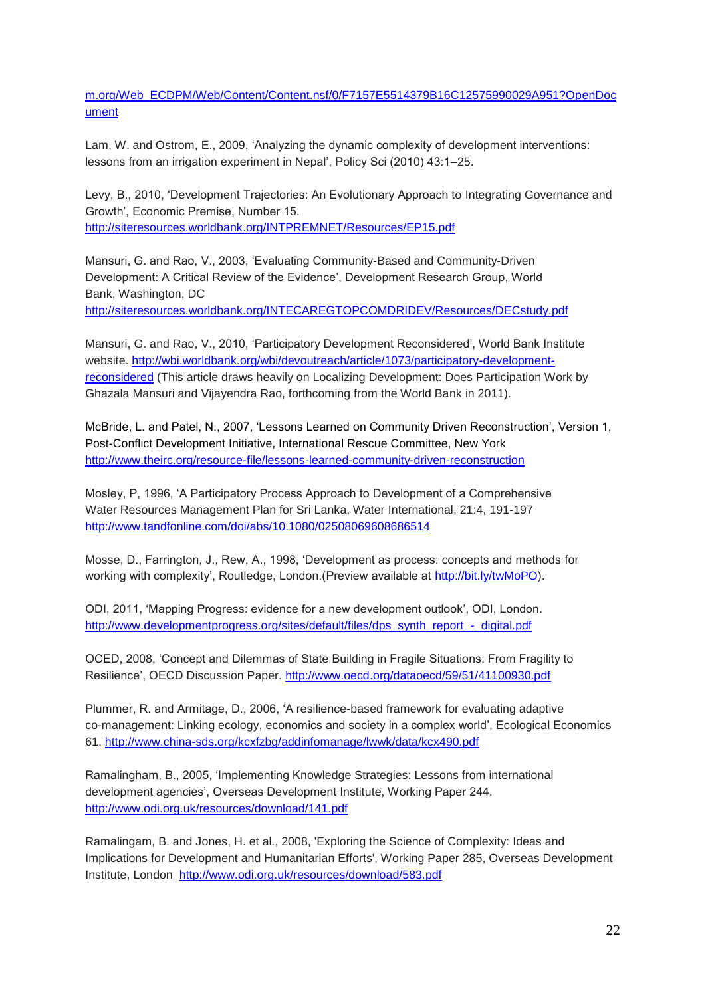m.org/Web\_ECDPM/Web/Content/Content.nsf/0/F7157E5514379B16C12575990029A951?OpenDoc ument

Lam, W. and Ostrom, E., 2009, 'Analyzing the dynamic complexity of development interventions: lessons from an irrigation experiment in Nepal', Policy Sci (2010) 43:1–25.

Levy, B., 2010, 'Development Trajectories: An Evolutionary Approach to Integrating Governance and Growth', Economic Premise, Number 15. <http://siteresources.worldbank.org/INTPREMNET/Resources/EP15.pdf>

Mansuri, G. and Rao, V., 2003, 'Evaluating Community-Based and Community-Driven Development: A Critical Review of the Evidence', Development Research Group, World Bank, Washington, DC

<http://siteresources.worldbank.org/INTECAREGTOPCOMDRIDEV/Resources/DECstudy.pdf>

Mansuri, G. and Rao, V., 2010, 'Participatory Development Reconsidered', World Bank Institute website. [http://wbi.worldbank.org/wbi/devoutreach/article/1073/participatory-development](http://wbi.worldbank.org/wbi/devoutreach/article/1073/participatory-development-reconsidered)[reconsidered](http://wbi.worldbank.org/wbi/devoutreach/article/1073/participatory-development-reconsidered) (This article draws heavily on Localizing Development: Does Participation Work by Ghazala Mansuri and Vijayendra Rao, forthcoming from the World Bank in 2011).

McBride, L. and Patel, N., 2007, 'Lessons Learned on Community Driven Reconstruction', Version 1, Post-Conflict Development Initiative, International Rescue Committee, New York <http://www.theirc.org/resource-file/lessons-learned-community-driven-reconstruction>

Mosley, P, 1996, 'A Participatory Process Approach to Development of a Comprehensive Water Resources Management Plan for Sri Lanka, Water International, 21:4, 191-197 <http://www.tandfonline.com/doi/abs/10.1080/02508069608686514>

Mosse, D., Farrington, J., Rew, A., 1998, 'Development as process: concepts and methods for working with complexity', Routledge, London.(Preview available at [http://bit.ly/twMoPO\)](http://bit.ly/twMoPO).

ODI, 2011, 'Mapping Progress: evidence for a new development outlook', ODI, London. [http://www.developmentprogress.org/sites/default/files/dps\\_synth\\_report\\_-\\_digital.pdf](http://www.developmentprogress.org/sites/default/files/dps_synth_report_-_digital.pdf)

OCED, 2008, 'Concept and Dilemmas of State Building in Fragile Situations: From Fragility to Resilience', OECD Discussion Paper.<http://www.oecd.org/dataoecd/59/51/41100930.pdf>

Plummer, R. and Armitage, D., 2006, 'A resilience-based framework for evaluating adaptive co-management: Linking ecology, economics and society in a complex world', Ecological Economics 61.<http://www.china-sds.org/kcxfzbg/addinfomanage/lwwk/data/kcx490.pdf>

Ramalingham, B., 2005, 'Implementing Knowledge Strategies: Lessons from international development agencies', Overseas Development Institute, Working Paper 244. <http://www.odi.org.uk/resources/download/141.pdf>

Ramalingam, B. and Jones, H. et al., 2008, 'Exploring the Science of Complexity: Ideas and Implications for Development and Humanitarian Efforts', Working Paper 285, Overseas Development Institute, London <http://www.odi.org.uk/resources/download/583.pdf>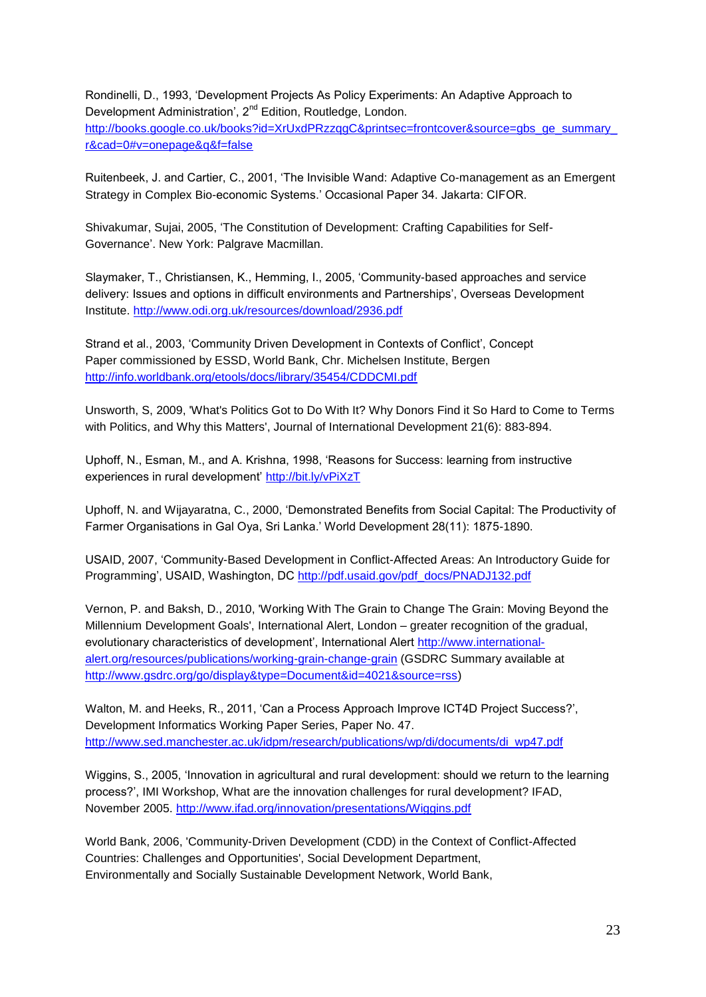Rondinelli, D., 1993, 'Development Projects As Policy Experiments: An Adaptive Approach to Development Administration', 2<sup>nd</sup> Edition, Routledge, London. http://books.google.co.uk/books?id=XrUxdPRzzqqC&printsec=frontcover&source=gbs\_ge\_summary\_ [r&cad=0#v=onepage&q&f=false](http://books.google.co.uk/books?id=XrUxdPRzzqgC&printsec=frontcover&source=gbs_ge_summary_r&cad=0#v=onepage&q&f=false)

Ruitenbeek, J. and Cartier, C., 2001, 'The Invisible Wand: Adaptive Co-management as an Emergent Strategy in Complex Bio-economic Systems.' Occasional Paper 34. Jakarta: CIFOR.

Shivakumar, Sujai, 2005, 'The Constitution of Development: Crafting Capabilities for Self-Governance'. New York: Palgrave Macmillan.

Slaymaker, T., Christiansen, K., Hemming, I., 2005, 'Community-based approaches and service delivery: Issues and options in difficult environments and Partnerships', Overseas Development Institute.<http://www.odi.org.uk/resources/download/2936.pdf>

Strand et al., 2003, 'Community Driven Development in Contexts of Conflict', Concept Paper commissioned by ESSD, World Bank, Chr. Michelsen Institute, Bergen <http://info.worldbank.org/etools/docs/library/35454/CDDCMI.pdf>

Unsworth, S, 2009, 'What's Politics Got to Do With It? Why Donors Find it So Hard to Come to Terms with Politics, and Why this Matters', Journal of International Development 21(6): 883-894.

Uphoff, N., Esman, M., and A. Krishna, 1998, 'Reasons for Success: learning from instructive experiences in rural development'<http://bit.ly/vPiXzT>

Uphoff, N. and Wijayaratna, C., 2000, 'Demonstrated Benefits from Social Capital: The Productivity of Farmer Organisations in Gal Oya, Sri Lanka.' World Development 28(11): 1875-1890.

USAID, 2007, 'Community-Based Development in Conflict-Affected Areas: An Introductory Guide for Programming', USAID, Washington, DC [http://pdf.usaid.gov/pdf\\_docs/PNADJ132.pdf](http://pdf.usaid.gov/pdf_docs/PNADJ132.pdf)

Vernon, P. and Baksh, D., 2010, 'Working With The Grain to Change The Grain: Moving Beyond the Millennium Development Goals', International Alert, London – greater recognition of the gradual, evolutionary characteristics of development', International Alert [http://www.international](http://www.international-alert.org/resources/publications/working-grain-change-grain)[alert.org/resources/publications/working-grain-change-grain](http://www.international-alert.org/resources/publications/working-grain-change-grain) (GSDRC Summary available at [http://www.gsdrc.org/go/display&type=Document&id=4021&source=rss\)](http://www.gsdrc.org/go/display&type=Document&id=4021&source=rss)

Walton, M. and Heeks, R., 2011, 'Can a Process Approach Improve ICT4D Project Success?', Development Informatics Working Paper Series, Paper No. 47. [http://www.sed.manchester.ac.uk/idpm/research/publications/wp/di/documents/di\\_wp47.pdf](http://www.sed.manchester.ac.uk/idpm/research/publications/wp/di/documents/di_wp47.pdf)

Wiggins, S., 2005, 'Innovation in agricultural and rural development: should we return to the learning process?', IMI Workshop, What are the innovation challenges for rural development? IFAD, November 2005.<http://www.ifad.org/innovation/presentations/Wiggins.pdf>

World Bank, 2006, 'Community-Driven Development (CDD) in the Context of Conflict-Affected Countries: Challenges and Opportunities', Social Development Department, Environmentally and Socially Sustainable Development Network, World Bank,